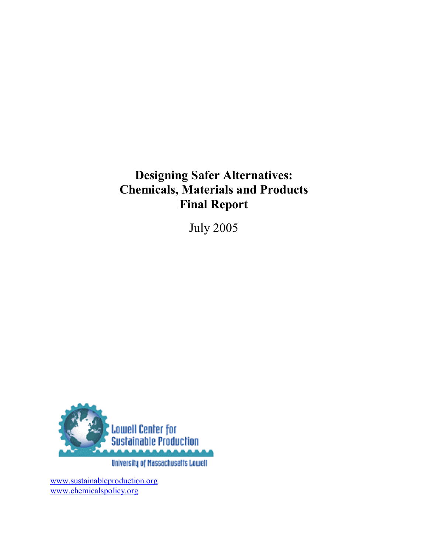# **Designing Safer Alternatives: Chemicals, Materials and Products Final Report**

July 2005



www.sustainableproduction.org www.chemicalspolicy.org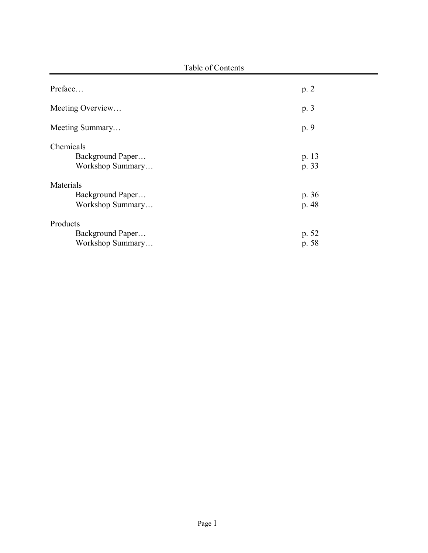| Preface                                           | p.2            |
|---------------------------------------------------|----------------|
| Meeting Overview                                  | p. 3           |
| Meeting Summary                                   | p. 9           |
| Chemicals<br>Background Paper<br>Workshop Summary | p. 13<br>p. 33 |
| Materials<br>Background Paper<br>Workshop Summary | p. 36<br>p. 48 |
| Products<br>Background Paper<br>Workshop Summary  | p. 52<br>p. 58 |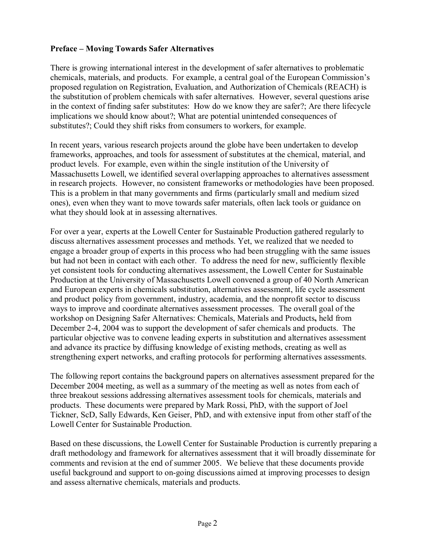## **Preface – Moving Towards Safer Alternatives**

There is growing international interest in the development of safer alternatives to problematic chemicals, materials, and products. For example, a central goal of the European Commission's proposed regulation on Registration, Evaluation, and Authorization of Chemicals (REACH) is the substitution of problem chemicals with safer alternatives. However, several questions arise in the context of finding safer substitutes: How do we know they are safer?; Are there lifecycle implications we should know about?; What are potential unintended consequences of substitutes?; Could they shift risks from consumers to workers, for example.

In recent years, various research projects around the globe have been undertaken to develop frameworks, approaches, and tools for assessment of substitutes at the chemical, material, and product levels. For example, even within the single institution of the University of Massachusetts Lowell, we identified several overlapping approaches to alternatives assessment in research projects. However, no consistent frameworks or methodologies have been proposed. This is a problem in that many governments and firms (particularly small and medium sized ones), even when they want to move towards safer materials, often lack tools or guidance on what they should look at in assessing alternatives.

For over a year, experts at the Lowell Center for Sustainable Production gathered regularly to discuss alternatives assessment processes and methods. Yet, we realized that we needed to engage a broader group of experts in this process who had been struggling with the same issues but had not been in contact with each other. To address the need for new, sufficiently flexible yet consistent tools for conducting alternatives assessment, the Lowell Center for Sustainable Production at the University of Massachusetts Lowell convened a group of 40 North American and European experts in chemicals substitution, alternatives assessment, life cycle assessment and product policy from government, industry, academia, and the nonprofit sector to discuss ways to improve and coordinate alternatives assessment processes. The overall goal of the workshop on Designing Safer Alternatives: Chemicals, Materials and Products**,** held from December 2-4, 2004 was to support the development of safer chemicals and products. The particular objective was to convene leading experts in substitution and alternatives assessment and advance its practice by diffusing knowledge of existing methods, creating as well as strengthening expert networks, and crafting protocols for performing alternatives assessments.

The following report contains the background papers on alternatives assessment prepared for the December 2004 meeting, as well as a summary of the meeting as well as notes from each of three breakout sessions addressing alternatives assessment tools for chemicals, materials and products. These documents were prepared by Mark Rossi, PhD, with the support of Joel Tickner, ScD, Sally Edwards, Ken Geiser, PhD, and with extensive input from other staff of the Lowell Center for Sustainable Production.

Based on these discussions, the Lowell Center for Sustainable Production is currently preparing a draft methodology and framework for alternatives assessment that it will broadly disseminate for comments and revision at the end of summer 2005. We believe that these documents provide useful background and support to on-going discussions aimed at improving processes to design and assess alternative chemicals, materials and products.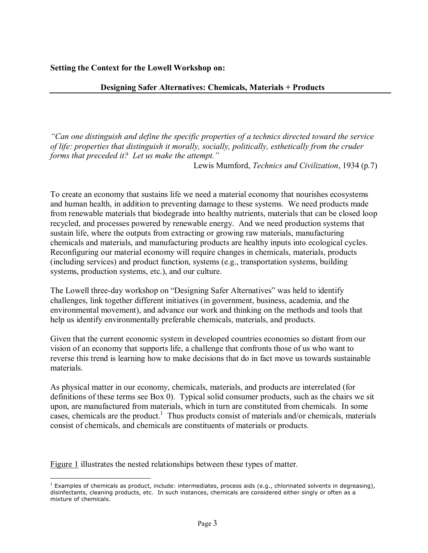**Setting the Context for the Lowell Workshop on:** 

#### **Designing Safer Alternatives: Chemicals, Materials + Products**

*ìCan one distinguish and define the specific properties of a technics directed toward the service of life: properties that distinguish it morally, socially, politically, esthetically from the cruder forms that preceded it? Let us make the attempt.*"

Lewis Mumford, *Technics and Civilization*, 1934 (p.7)

To create an economy that sustains life we need a material economy that nourishes ecosystems and human health, in addition to preventing damage to these systems. We need products made from renewable materials that biodegrade into healthy nutrients, materials that can be closed loop recycled, and processes powered by renewable energy. And we need production systems that sustain life, where the outputs from extracting or growing raw materials, manufacturing chemicals and materials, and manufacturing products are healthy inputs into ecological cycles. Reconfiguring our material economy will require changes in chemicals, materials, products (including services) and product function, systems (e.g., transportation systems, building systems, production systems, etc.), and our culture.

The Lowell three-day workshop on "Designing Safer Alternatives" was held to identify challenges, link together different initiatives (in government, business, academia, and the environmental movement), and advance our work and thinking on the methods and tools that help us identify environmentally preferable chemicals, materials, and products.

Given that the current economic system in developed countries economies so distant from our vision of an economy that supports life, a challenge that confronts those of us who want to reverse this trend is learning how to make decisions that do in fact move us towards sustainable materials.

As physical matter in our economy, chemicals, materials, and products are interrelated (for definitions of these terms see Box 0). Typical solid consumer products, such as the chairs we sit upon, are manufactured from materials, which in turn are constituted from chemicals. In some cases, chemicals are the product.<sup>1</sup> Thus products consist of materials and/or chemicals, materials consist of chemicals, and chemicals are constituents of materials or products.

Figure 1 illustrates the nested relationships between these types of matter.

 $\overline{a}$ 

<sup>&</sup>lt;sup>1</sup> Examples of chemicals as product, include: intermediates, process aids (e.g., chlorinated solvents in degreasing), disinfectants, cleaning products, etc. In such instances, chemicals are considered either singly or often as a mixture of chemicals.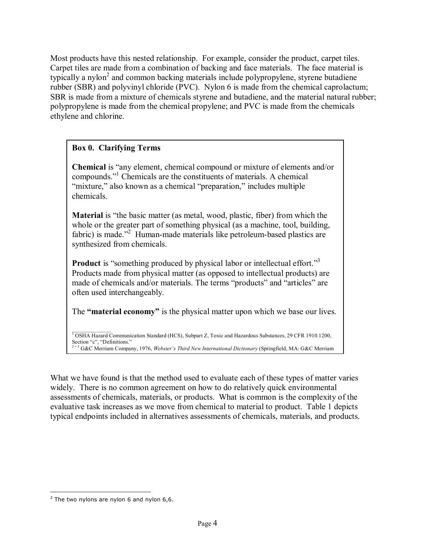Most products have this nested relationship. For example, consider the product, carpet tiles. Carpet tiles are made from a combination of backing and face materials. The face material is typically a nylon<sup>2</sup> and common backing materials include polypropylene, styrene butadiene rubber (SBR) and polyvinyl chloride (PVC). Nylon 6 is made from the chemical caprolactum; SBR is made from a mixture of chemicals styrene and butadiene, and the material natural rubber; polypropylene is made from the chemical propylene; and PVC is made from the chemicals ethylene and chlorine.

# **Box 0. Clarifying Terms**

**Chemical** is "any element, chemical compound or mixture of elements and/or compounds."<sup>1</sup> Chemicals are the constituents of materials. A chemical "mixture," also known as a chemical "preparation," includes multiple chemicals.

**Material** is "the basic matter (as metal, wood, plastic, fiber) from which the whole or the greater part of something physical (as a machine, tool, building, fabric) is made."<sup>2</sup> Human-made materials like petroleum-based plastics are synthesized from chemicals.

**Product** is "something produced by physical labor or intellectual effort."<sup>3</sup> Products made from physical matter (as opposed to intellectual products) are made of chemicals and/or materials. The terms "products" and "articles" are often used interchangeably.

The **"material economy"** is the physical matter upon which we base our lives.

 $\mathcal{L}_\text{max}$ <sup>1</sup> OSHA Hazard Communication Standard (HCS), Subpart Z, Toxic and Hazardous Substances, 29 CFR 1910.1200, Section " $c$ ", "Definitions." <sup>2</sup> G&C Merriam Company, 1976, *Webster's Third New International Dictionary* (Springfield, MA: G&C Merriam

What we have found is that the method used to evaluate each of these types of matter varies widely. There is no common agreement on how to do relatively quick environmental assessments of chemicals, materials, or products. What is common is the complexity of the evaluative task increases as we move from chemical to material to product. Table 1 depicts typical endpoints included in alternatives assessments of chemicals, materials, and products.

 $\overline{a}$  $2$  The two nylons are nylon 6 and nylon 6,6.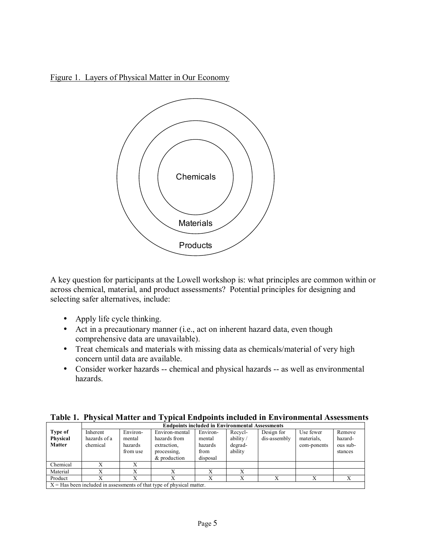Figure 1. Layers of Physical Matter in Our Economy



A key question for participants at the Lowell workshop is: what principles are common within or across chemical, material, and product assessments? Potential principles for designing and selecting safer alternatives, include:

- Apply life cycle thinking.
- Act in a precautionary manner (i.e., act on inherent hazard data, even though comprehensive data are unavailable).
- Treat chemicals and materials with missing data as chemicals/material of very high concern until data are available.
- Consider worker hazards -- chemical and physical hazards -- as well as environmental hazards.

| Table 1. Physical Matter and Typical Endpoints included in Environmental Assessments |  |
|--------------------------------------------------------------------------------------|--|
| <b>Endnoints included in Environmental Assessments</b>                               |  |

|               |              | епорошіх пісново пі епун опшенія Assessments |                                                                                          |              |              |              |             |          |  |  |
|---------------|--------------|----------------------------------------------|------------------------------------------------------------------------------------------|--------------|--------------|--------------|-------------|----------|--|--|
| Type of       | Inherent     | Environ-                                     | Environ-mental                                                                           | Environ-     | Recycl-      | Design for   | Use fewer   | Remove   |  |  |
| Physical      | hazards of a | mental                                       | hazards from                                                                             | mental       | ability/     | dis-assembly | materials.  | hazard-  |  |  |
| <b>Matter</b> | chemical     | hazards                                      | extraction,                                                                              | hazards      | degrad-      |              | com-ponents | ous sub- |  |  |
|               |              | from use                                     | processing,                                                                              | from         | ability      |              |             | stances  |  |  |
|               |              |                                              | & production                                                                             | disposal     |              |              |             |          |  |  |
| Chemical      |              |                                              |                                                                                          |              |              |              |             |          |  |  |
| Material      |              |                                              |                                                                                          |              |              |              |             |          |  |  |
| Product       |              |                                              |                                                                                          | $\mathbf{v}$ | $\mathbf{v}$ |              |             |          |  |  |
|               |              |                                              | ${\bf V}={\bf H}$ . Let us be the ded because the contract of the top contract of method |              |              |              |             |          |  |  |

 $X = Has$  been included in assessments of that type of physical matter.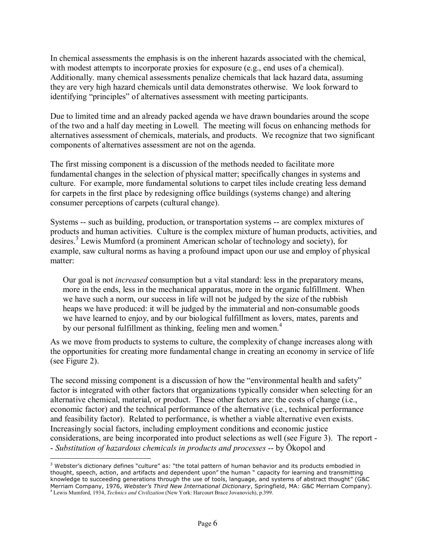In chemical assessments the emphasis is on the inherent hazards associated with the chemical, with modest attempts to incorporate proxies for exposure (e.g., end uses of a chemical). Additionally. many chemical assessments penalize chemicals that lack hazard data, assuming they are very high hazard chemicals until data demonstrates otherwise. We look forward to identifying "principles" of alternatives assessment with meeting participants.

Due to limited time and an already packed agenda we have drawn boundaries around the scope of the two and a half day meeting in Lowell. The meeting will focus on enhancing methods for alternatives assessment of chemicals, materials, and products. We recognize that two significant components of alternatives assessment are not on the agenda.

The first missing component is a discussion of the methods needed to facilitate more fundamental changes in the selection of physical matter; specifically changes in systems and culture. For example, more fundamental solutions to carpet tiles include creating less demand for carpets in the first place by redesigning office buildings (systems change) and altering consumer perceptions of carpets (cultural change).

Systems -- such as building, production, or transportation systems -- are complex mixtures of products and human activities. Culture is the complex mixture of human products, activities, and desires.<sup>3</sup> Lewis Mumford (a prominent American scholar of technology and society), for example, saw cultural norms as having a profound impact upon our use and employ of physical matter:

Our goal is not *increased* consumption but a vital standard: less in the preparatory means, more in the ends, less in the mechanical apparatus, more in the organic fulfillment. When we have such a norm, our success in life will not be judged by the size of the rubbish heaps we have produced: it will be judged by the immaterial and non-consumable goods we have learned to enjoy, and by our biological fulfillment as lovers, mates, parents and by our personal fulfillment as thinking, feeling men and women.<sup>4</sup>

As we move from products to systems to culture, the complexity of change increases along with the opportunities for creating more fundamental change in creating an economy in service of life (see Figure 2).

The second missing component is a discussion of how the "environmental health and safety" factor is integrated with other factors that organizations typically consider when selecting for an alternative chemical, material, or product. These other factors are: the costs of change (i.e., economic factor) and the technical performance of the alternative (i.e., technical performance and feasibility factor). Related to performance, is whether a viable alternative even exists. Increasingly social factors, including employment conditions and economic justice considerations, are being incorporated into product selections as well (see Figure 3). The report - - Substitution of hazardous chemicals in products and processes -- by Ökopol and

<u>.</u>

 $3$  Webster's dictionary defines "culture" as: "the total pattern of human behavior and its products embodied in thought, speech, action, and artifacts and dependent upon" the human " capacity for learning and transmitting knowledge to succeeding generations through the use of tools, language, and systems of abstract thought" (G&C Merriam Company, 1976, *Websterís Third New International Dictionary*, Springfield, MA: G&C Merriam Company). <sup>4</sup> Lewis Mumford, 1934, *Technics and Civilization* (New York: Harcourt Brace Jovanovich), p.399.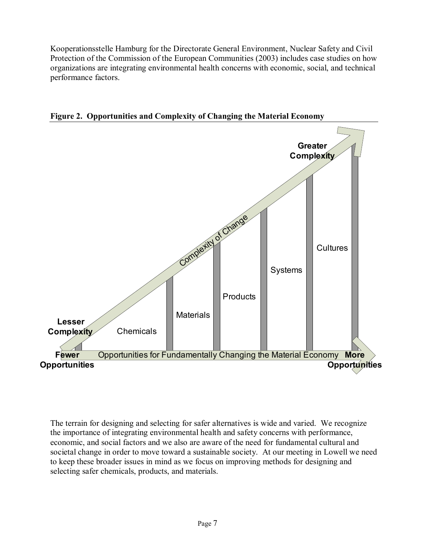Kooperationsstelle Hamburg for the Directorate General Environment, Nuclear Safety and Civil Protection of the Commission of the European Communities (2003) includes case studies on how organizations are integrating environmental health concerns with economic, social, and technical performance factors.





The terrain for designing and selecting for safer alternatives is wide and varied. We recognize the importance of integrating environmental health and safety concerns with performance, economic, and social factors and we also are aware of the need for fundamental cultural and societal change in order to move toward a sustainable society. At our meeting in Lowell we need to keep these broader issues in mind as we focus on improving methods for designing and selecting safer chemicals, products, and materials.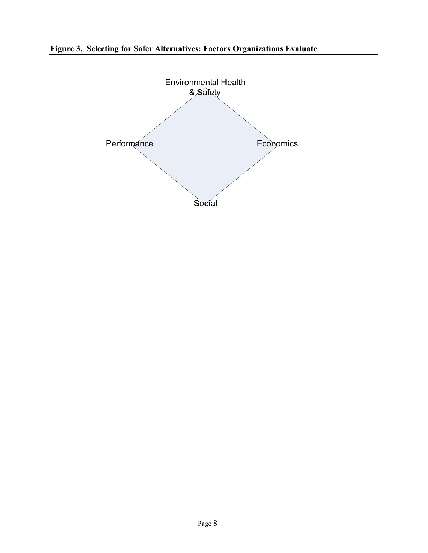**Figure 3. Selecting for Safer Alternatives: Factors Organizations Evaluate** 

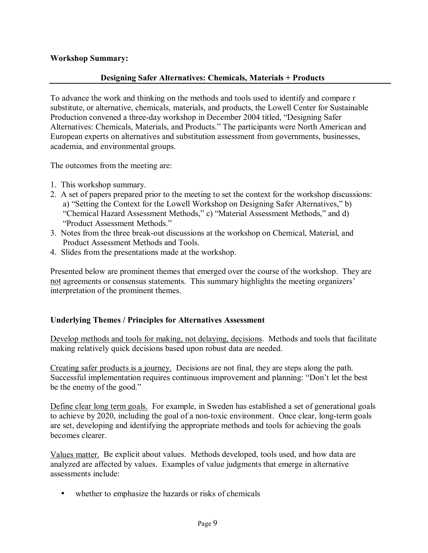## **Workshop Summary:**

#### **Designing Safer Alternatives: Chemicals, Materials + Products**

To advance the work and thinking on the methods and tools used to identify and compare r substitute, or alternative, chemicals, materials, and products, the Lowell Center for Sustainable Production convened a three-day workshop in December 2004 titled, "Designing Safer Alternatives: Chemicals, Materials, and Products." The participants were North American and European experts on alternatives and substitution assessment from governments, businesses, academia, and environmental groups.

The outcomes from the meeting are:

- 1. This workshop summary.
- 2. A set of papers prepared prior to the meeting to set the context for the workshop discussions: a) "Setting the Context for the Lowell Workshop on Designing Safer Alternatives," b) "Chemical Hazard Assessment Methods," c) "Material Assessment Methods," and d) "Product Assessment Methods."
- 3. Notes from the three break-out discussions at the workshop on Chemical, Material, and Product Assessment Methods and Tools.
- 4. Slides from the presentations made at the workshop.

Presented below are prominent themes that emerged over the course of the workshop. They are not agreements or consensus statements. This summary highlights the meeting organizers' interpretation of the prominent themes.

## **Underlying Themes / Principles for Alternatives Assessment**

Develop methods and tools for making, not delaying, decisions. Methods and tools that facilitate making relatively quick decisions based upon robust data are needed.

Creating safer products is a journey. Decisions are not final, they are steps along the path. Successful implementation requires continuous improvement and planning: "Don't let the best be the enemy of the good."

Define clear long term goals. For example, in Sweden has established a set of generational goals to achieve by 2020, including the goal of a non-toxic environment. Once clear, long-term goals are set, developing and identifying the appropriate methods and tools for achieving the goals becomes clearer.

Values matter. Be explicit about values. Methods developed, tools used, and how data are analyzed are affected by values. Examples of value judgments that emerge in alternative assessments include:

• whether to emphasize the hazards or risks of chemicals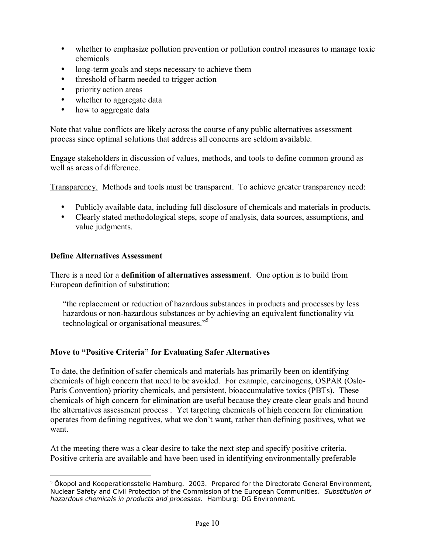- whether to emphasize pollution prevention or pollution control measures to manage toxic chemicals
- long-term goals and steps necessary to achieve them
- threshold of harm needed to trigger action
- priority action areas
- whether to aggregate data
- how to aggregate data

Note that value conflicts are likely across the course of any public alternatives assessment process since optimal solutions that address all concerns are seldom available.

Engage stakeholders in discussion of values, methods, and tools to define common ground as well as areas of difference.

Transparency. Methods and tools must be transparent. To achieve greater transparency need:

- Publicly available data, including full disclosure of chemicals and materials in products.
- Clearly stated methodological steps, scope of analysis, data sources, assumptions, and value judgments.

## **Define Alternatives Assessment**

There is a need for a **definition of alternatives assessment**. One option is to build from European definition of substitution:

ìthe replacement or reduction of hazardous substances in products and processes by less hazardous or non-hazardous substances or by achieving an equivalent functionality via technological or organisational measures.<sup> $55$ </sup>

## **Move to "Positive Criteria" for Evaluating Safer Alternatives**

To date, the definition of safer chemicals and materials has primarily been on identifying chemicals of high concern that need to be avoided. For example, carcinogens, OSPAR (Oslo-Paris Convention) priority chemicals, and persistent, bioaccumulative toxics (PBTs). These chemicals of high concern for elimination are useful because they create clear goals and bound the alternatives assessment process . Yet targeting chemicals of high concern for elimination operates from defining negatives, what we don't want, rather than defining positives, what we want.

At the meeting there was a clear desire to take the next step and specify positive criteria. Positive criteria are available and have been used in identifying environmentally preferable

 $\overline{a}$ <sup>5</sup> Ökopol and Kooperationsstelle Hamburg. 2003. Prepared for the Directorate General Environment, Nuclear Safety and Civil Protection of the Commission of the European Communities. *Substitution of hazardous chemicals in products and processes*. Hamburg: DG Environment.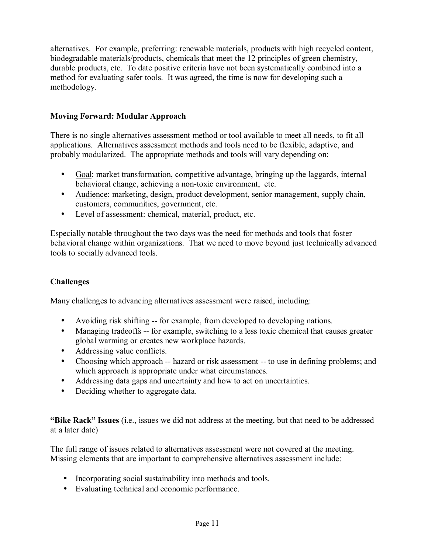alternatives. For example, preferring: renewable materials, products with high recycled content, biodegradable materials/products, chemicals that meet the 12 principles of green chemistry, durable products, etc. To date positive criteria have not been systematically combined into a method for evaluating safer tools. It was agreed, the time is now for developing such a methodology.

## **Moving Forward: Modular Approach**

There is no single alternatives assessment method or tool available to meet all needs, to fit all applications. Alternatives assessment methods and tools need to be flexible, adaptive, and probably modularized. The appropriate methods and tools will vary depending on:

- Goal: market transformation, competitive advantage, bringing up the laggards, internal behavioral change, achieving a non-toxic environment, etc.
- Audience: marketing, design, product development, senior management, supply chain, customers, communities, government, etc.
- Level of assessment: chemical, material, product, etc.

Especially notable throughout the two days was the need for methods and tools that foster behavioral change within organizations. That we need to move beyond just technically advanced tools to socially advanced tools.

## **Challenges**

Many challenges to advancing alternatives assessment were raised, including:

- Avoiding risk shifting -- for example, from developed to developing nations.
- Managing tradeoffs -- for example, switching to a less toxic chemical that causes greater global warming or creates new workplace hazards.
- Addressing value conflicts.
- Choosing which approach -- hazard or risk assessment -- to use in defining problems; and which approach is appropriate under what circumstances.
- Addressing data gaps and uncertainty and how to act on uncertainties.
- Deciding whether to aggregate data.

**Example Rack**? Issues (i.e., issues we did not address at the meeting, but that need to be addressed at a later date)

The full range of issues related to alternatives assessment were not covered at the meeting. Missing elements that are important to comprehensive alternatives assessment include:

- Incorporating social sustainability into methods and tools.
- Evaluating technical and economic performance.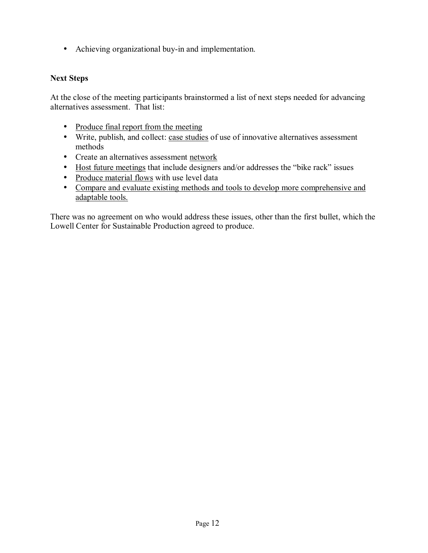• Achieving organizational buy-in and implementation.

#### **Next Steps**

At the close of the meeting participants brainstormed a list of next steps needed for advancing alternatives assessment. That list:

- Produce final report from the meeting
- Write, publish, and collect: case studies of use of innovative alternatives assessment methods
- Create an alternatives assessment network
- Host future meetings that include designers and/or addresses the "bike rack" issues
- Produce material flows with use level data
- Compare and evaluate existing methods and tools to develop more comprehensive and adaptable tools.

There was no agreement on who would address these issues, other than the first bullet, which the Lowell Center for Sustainable Production agreed to produce.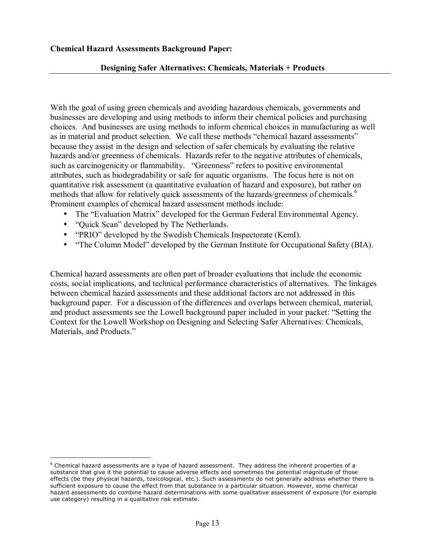#### **Chemical Hazard Assessments Background Paper:**

#### **Designing Safer Alternatives: Chemicals, Materials + Products**

With the goal of using green chemicals and avoiding hazardous chemicals, governments and businesses are developing and using methods to inform their chemical policies and purchasing choices. And businesses are using methods to inform chemical choices in manufacturing as well as in material and product selection. We call these methods "chemical hazard assessments" because they assist in the design and selection of safer chemicals by evaluating the relative hazards and/or greenness of chemicals. Hazards refer to the negative attributes of chemicals, such as carcinogenicity or flammability. "Greenness" refers to positive environmental attributes, such as biodegradability or safe for aquatic organisms. The focus here is not on quantitative risk assessment (a quantitative evaluation of hazard and exposure), but rather on methods that allow for relatively quick assessments of the hazards/greenness of chemicals.<sup>6</sup> Prominent examples of chemical hazard assessment methods include:

- The "Evaluation Matrix" developed for the German Federal Environmental Agency.
- "Quick Scan" developed by The Netherlands.

 $\overline{a}$ 

- "PRIO" developed by the Swedish Chemicals Inspectorate (KemI).
- "The Column Model" developed by the German Institute for Occupational Safety (BIA).

Chemical hazard assessments are often part of broader evaluations that include the economic costs, social implications, and technical performance characteristics of alternatives. The linkages between chemical hazard assessments and these additional factors are not addressed in this background paper. For a discussion of the differences and overlaps between chemical, material, and product assessments see the Lowell background paper included in your packet: "Setting the Context for the Lowell Workshop on Designing and Selecting Safer Alternatives: Chemicals, Materials, and Products."

 $6$  Chemical hazard assessments are a type of hazard assessment. They address the inherent properties of a substance that give it the potential to cause adverse effects and sometimes the potential magnitude of those effects (be they physical hazards, toxicological, etc.). Such assessments do not generally address whether there is sufficient exposure to cause the effect from that substance in a particular situation. However, some chemical hazard assessments do combine hazard determinations with some qualitative assessment of exposure (for example use category) resulting in a qualitative risk estimate.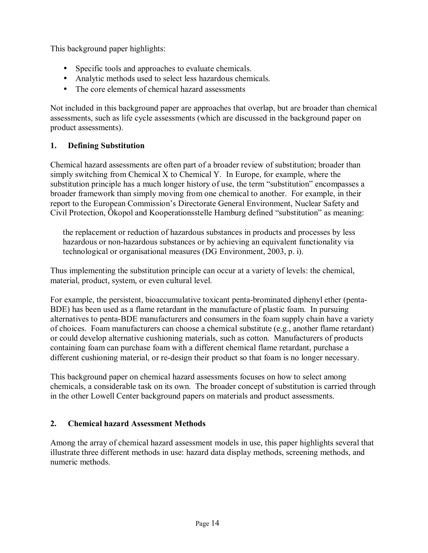This background paper highlights:

- Specific tools and approaches to evaluate chemicals.
- Analytic methods used to select less hazardous chemicals.
- The core elements of chemical hazard assessments

Not included in this background paper are approaches that overlap, but are broader than chemical assessments, such as life cycle assessments (which are discussed in the background paper on product assessments).

## **1. Defining Substitution**

Chemical hazard assessments are often part of a broader review of substitution; broader than simply switching from Chemical X to Chemical Y. In Europe, for example, where the substitution principle has a much longer history of use, the term "substitution" encompasses a broader framework than simply moving from one chemical to another. For example, in their report to the European Commission's Directorate General Environment, Nuclear Safety and Civil Protection, Ökopol and Kooperationsstelle Hamburg defined "substitution" as meaning:

the replacement or reduction of hazardous substances in products and processes by less hazardous or non-hazardous substances or by achieving an equivalent functionality via technological or organisational measures (DG Environment, 2003, p. i).

Thus implementing the substitution principle can occur at a variety of levels: the chemical, material, product, system, or even cultural level.

For example, the persistent, bioaccumulative toxicant penta-brominated diphenyl ether (penta-BDE) has been used as a flame retardant in the manufacture of plastic foam. In pursuing alternatives to penta-BDE manufacturers and consumers in the foam supply chain have a variety of choices. Foam manufacturers can choose a chemical substitute (e.g., another flame retardant) or could develop alternative cushioning materials, such as cotton. Manufacturers of products containing foam can purchase foam with a different chemical flame retardant, purchase a different cushioning material, or re-design their product so that foam is no longer necessary.

This background paper on chemical hazard assessments focuses on how to select among chemicals, a considerable task on its own. The broader concept of substitution is carried through in the other Lowell Center background papers on materials and product assessments.

## **2. Chemical hazard Assessment Methods**

Among the array of chemical hazard assessment models in use, this paper highlights several that illustrate three different methods in use: hazard data display methods, screening methods, and numeric methods.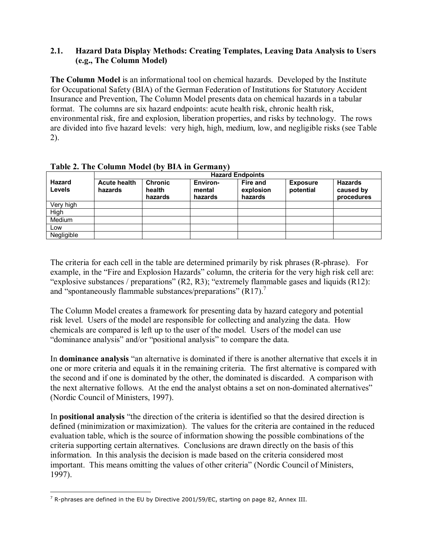#### **2.1. Hazard Data Display Methods: Creating Templates, Leaving Data Analysis to Users (e.g., The Column Model)**

**The Column Model** is an informational tool on chemical hazards. Developed by the Institute for Occupational Safety (BIA) of the German Federation of Institutions for Statutory Accident Insurance and Prevention, The Column Model presents data on chemical hazards in a tabular format. The columns are six hazard endpoints: acute health risk, chronic health risk, environmental risk, fire and explosion, liberation properties, and risks by technology. The rows are divided into five hazard levels: very high, high, medium, low, and negligible risks (see Table 2).

|                         | <b>Hazard Endpoints</b>        |                                     |                               |                                         |                              |                                           |  |  |  |
|-------------------------|--------------------------------|-------------------------------------|-------------------------------|-----------------------------------------|------------------------------|-------------------------------------------|--|--|--|
| Hazard<br><b>Levels</b> | <b>Acute health</b><br>hazards | <b>Chronic</b><br>health<br>hazards | Environ-<br>mental<br>hazards | <b>Fire and</b><br>explosion<br>hazards | <b>Exposure</b><br>potential | <b>Hazards</b><br>caused by<br>procedures |  |  |  |
| Very high               |                                |                                     |                               |                                         |                              |                                           |  |  |  |
| High                    |                                |                                     |                               |                                         |                              |                                           |  |  |  |
| Medium                  |                                |                                     |                               |                                         |                              |                                           |  |  |  |
| Low                     |                                |                                     |                               |                                         |                              |                                           |  |  |  |
| Negligible              |                                |                                     |                               |                                         |                              |                                           |  |  |  |

The criteria for each cell in the table are determined primarily by risk phrases (R-phrase). For example, in the "Fire and Explosion Hazards" column, the criteria for the very high risk cell are: "explosive substances / preparations"  $(R2, R3)$ ; "extremely flammable gases and liquids  $(R12)$ : and "spontaneously flammable substances/preparations"  $(R17)$ .

The Column Model creates a framework for presenting data by hazard category and potential risk level. Users of the model are responsible for collecting and analyzing the data. How chemicals are compared is left up to the user of the model. Users of the model can use "dominance analysis" and/or "positional analysis" to compare the data.

In **dominance analysis** "an alternative is dominated if there is another alternative that excels it in one or more criteria and equals it in the remaining criteria. The first alternative is compared with the second and if one is dominated by the other, the dominated is discarded. A comparison with the next alternative follows. At the end the analyst obtains a set on non-dominated alternatives" (Nordic Council of Ministers, 1997).

In **positional analysis** "the direction of the criteria is identified so that the desired direction is defined (minimization or maximization). The values for the criteria are contained in the reduced evaluation table, which is the source of information showing the possible combinations of the criteria supporting certain alternatives. Conclusions are drawn directly on the basis of this information. In this analysis the decision is made based on the criteria considered most important. This means omitting the values of other criteria" (Nordic Council of Ministers, 1997).

<sup>&</sup>lt;u>.</u>  $^7$  R-phrases are defined in the EU by Directive 2001/59/EC, starting on page 82, Annex III.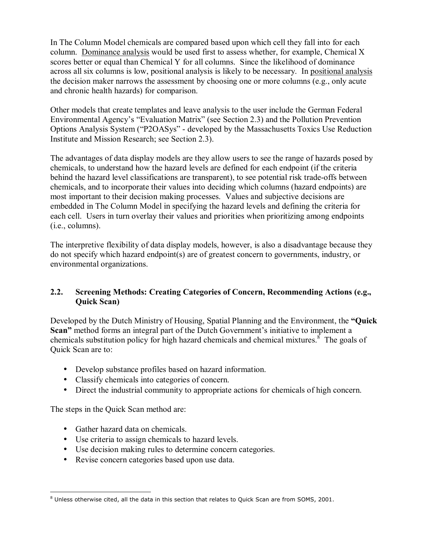In The Column Model chemicals are compared based upon which cell they fall into for each column. Dominance analysis would be used first to assess whether, for example, Chemical X scores better or equal than Chemical Y for all columns. Since the likelihood of dominance across all six columns is low, positional analysis is likely to be necessary. In positional analysis the decision maker narrows the assessment by choosing one or more columns (e.g., only acute and chronic health hazards) for comparison.

Other models that create templates and leave analysis to the user include the German Federal Environmental Agency's "Evaluation Matrix" (see Section 2.3) and the Pollution Prevention Options Analysis System ("P2OASys" - developed by the Massachusetts Toxics Use Reduction Institute and Mission Research; see Section 2.3).

The advantages of data display models are they allow users to see the range of hazards posed by chemicals, to understand how the hazard levels are defined for each endpoint (if the criteria behind the hazard level classifications are transparent), to see potential risk trade-offs between chemicals, and to incorporate their values into deciding which columns (hazard endpoints) are most important to their decision making processes. Values and subjective decisions are embedded in The Column Model in specifying the hazard levels and defining the criteria for each cell. Users in turn overlay their values and priorities when prioritizing among endpoints (i.e., columns).

The interpretive flexibility of data display models, however, is also a disadvantage because they do not specify which hazard endpoint(s) are of greatest concern to governments, industry, or environmental organizations.

## **2.2. Screening Methods: Creating Categories of Concern, Recommending Actions (e.g., Quick Scan)**

Developed by the Dutch Ministry of Housing, Spatial Planning and the Environment, the "Quick" **Scan**<sup>n</sup> method forms an integral part of the Dutch Government's initiative to implement a chemicals substitution policy for high hazard chemicals and chemical mixtures. $\delta$  The goals of Quick Scan are to:

- Develop substance profiles based on hazard information.
- Classify chemicals into categories of concern.
- Direct the industrial community to appropriate actions for chemicals of high concern.

The steps in the Quick Scan method are:

- Gather hazard data on chemicals.
- Use criteria to assign chemicals to hazard levels.
- Use decision making rules to determine concern categories.
- Revise concern categories based upon use data.

 $\overline{a}$  $^8$  Unless otherwise cited, all the data in this section that relates to Quick Scan are from SOMS, 2001.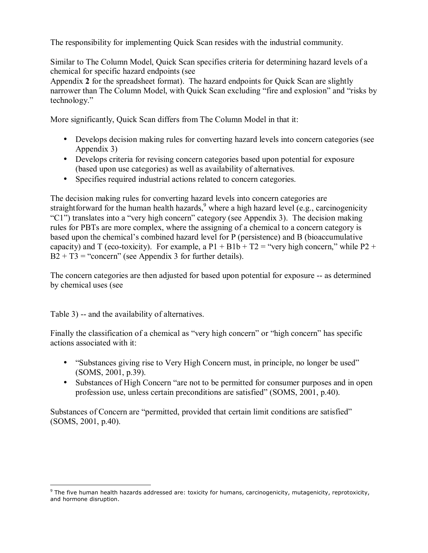The responsibility for implementing Quick Scan resides with the industrial community.

Similar to The Column Model, Quick Scan specifies criteria for determining hazard levels of a chemical for specific hazard endpoints (see

Appendix **2** for the spreadsheet format). The hazard endpoints for Quick Scan are slightly narrower than The Column Model, with Quick Scan excluding "fire and explosion" and "risks by technology."

More significantly, Quick Scan differs from The Column Model in that it:

- Develops decision making rules for converting hazard levels into concern categories (see Appendix 3)
- Develops criteria for revising concern categories based upon potential for exposure (based upon use categories) as well as availability of alternatives.
- Specifies required industrial actions related to concern categories.

The decision making rules for converting hazard levels into concern categories are straightforward for the human health hazards,<sup>9</sup> where a high hazard level (e.g., carcinogenicity  $°C1"$ ) translates into a "very high concern" category (see Appendix 3). The decision making rules for PBTs are more complex, where the assigning of a chemical to a concern category is based upon the chemical's combined hazard level for P (persistence) and B (bioaccumulative capacity) and T (eco-toxicity). For example, a  $P1 + B1b + T2 =$  "very high concern," while P2 +  $B2 + T3$  = "concern" (see Appendix 3 for further details).

The concern categories are then adjusted for based upon potential for exposure -- as determined by chemical uses (see

Table 3) -- and the availability of alternatives.

 $\overline{a}$ 

Finally the classification of a chemical as "very high concern" or "high concern" has specific actions associated with it:

- "Substances giving rise to Very High Concern must, in principle, no longer be used" (SOMS, 2001, p.39).
- Substances of High Concern "are not to be permitted for consumer purposes and in open profession use, unless certain preconditions are satisfiedî (SOMS, 2001, p.40).

Substances of Concern are "permitted, provided that certain limit conditions are satisfied" (SOMS, 2001, p.40).

<sup>&</sup>lt;sup>9</sup> The five human health hazards addressed are: toxicity for humans, carcinogenicity, mutagenicity, reprotoxicity, and hormone disruption.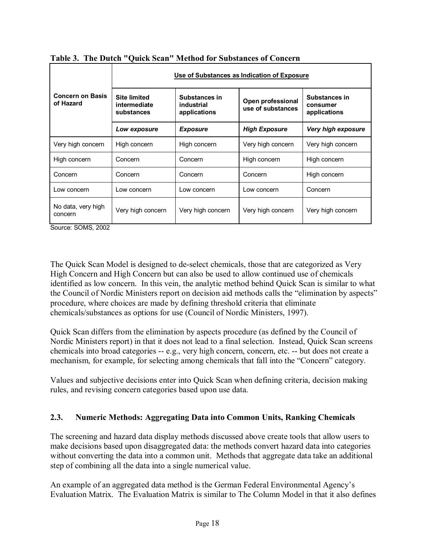|                                      | Use of Substances as Indication of Exposure       |                                             |                                        |                                           |  |  |  |
|--------------------------------------|---------------------------------------------------|---------------------------------------------|----------------------------------------|-------------------------------------------|--|--|--|
| <b>Concern on Basis</b><br>of Hazard | <b>Site limited</b><br>intermediate<br>substances | Substances in<br>industrial<br>applications | Open professional<br>use of substances | Substances in<br>consumer<br>applications |  |  |  |
|                                      | Low exposure                                      | <b>Exposure</b>                             | <b>High Exposure</b>                   | Very high exposure                        |  |  |  |
| Very high concern                    | High concern                                      | High concern                                | Very high concern                      | Very high concern                         |  |  |  |
| High concern                         | Concern                                           | Concern                                     | High concern                           | High concern                              |  |  |  |
| Concern                              | Concern                                           | Concern                                     | Concern                                | High concern                              |  |  |  |
| Low concern                          | Low concern                                       | Low concern                                 | Low concern                            | Concern                                   |  |  |  |
| No data, very high<br>concern        | Very high concern                                 | Very high concern                           | Very high concern                      | Very high concern                         |  |  |  |

**Table 3. The Dutch "Quick Scan" Method for Substances of Concern** 

Source: SOMS, 2002

The Quick Scan Model is designed to de-select chemicals, those that are categorized as Very High Concern and High Concern but can also be used to allow continued use of chemicals identified as low concern. In this vein, the analytic method behind Quick Scan is similar to what the Council of Nordic Ministers report on decision aid methods calls the "elimination by aspects" procedure, where choices are made by defining threshold criteria that eliminate chemicals/substances as options for use (Council of Nordic Ministers, 1997).

Quick Scan differs from the elimination by aspects procedure (as defined by the Council of Nordic Ministers report) in that it does not lead to a final selection. Instead, Quick Scan screens chemicals into broad categories -- e.g., very high concern, concern, etc. -- but does not create a mechanism, for example, for selecting among chemicals that fall into the "Concern" category.

Values and subjective decisions enter into Quick Scan when defining criteria, decision making rules, and revising concern categories based upon use data.

# **2.3. Numeric Methods: Aggregating Data into Common Units, Ranking Chemicals**

The screening and hazard data display methods discussed above create tools that allow users to make decisions based upon disaggregated data: the methods convert hazard data into categories without converting the data into a common unit. Methods that aggregate data take an additional step of combining all the data into a single numerical value.

An example of an aggregated data method is the German Federal Environmental Agency's Evaluation Matrix. The Evaluation Matrix is similar to The Column Model in that it also defines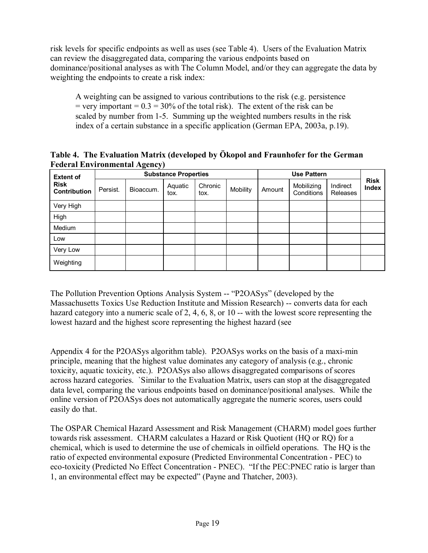risk levels for specific endpoints as well as uses (see Table 4). Users of the Evaluation Matrix can review the disaggregated data, comparing the various endpoints based on dominance/positional analyses as with The Column Model, and/or they can aggregate the data by weighting the endpoints to create a risk index:

A weighting can be assigned to various contributions to the risk (e.g. persistence  $=$  very important  $= 0.3 = 30\%$  of the total risk). The extent of the risk can be scaled by number from 1-5. Summing up the weighted numbers results in the risk index of a certain substance in a specific application (German EPA, 2003a, p.19).

Table 4. The Evaluation Matrix (developed by Ökopol and Fraunhofer for the German **Federal Environmental Agency)** 

| <b>Extent of</b><br><b>Risk</b><br><b>Contribution</b> | <b>Substance Properties</b> |           |                 |                 |          |        |                          |                      |                      |
|--------------------------------------------------------|-----------------------------|-----------|-----------------|-----------------|----------|--------|--------------------------|----------------------|----------------------|
|                                                        | Persist.                    | Bioaccum. | Aquatic<br>tox. | Chronic<br>tox. | Mobility | Amount | Mobilizing<br>Conditions | Indirect<br>Releases | <b>Risk</b><br>Index |
| Very High                                              |                             |           |                 |                 |          |        |                          |                      |                      |
| High                                                   |                             |           |                 |                 |          |        |                          |                      |                      |
| Medium                                                 |                             |           |                 |                 |          |        |                          |                      |                      |
| Low                                                    |                             |           |                 |                 |          |        |                          |                      |                      |
| Very Low                                               |                             |           |                 |                 |          |        |                          |                      |                      |
| Weighting                                              |                             |           |                 |                 |          |        |                          |                      |                      |

The Pollution Prevention Options Analysis System -- "P2OASys" (developed by the Massachusetts Toxics Use Reduction Institute and Mission Research) -- converts data for each hazard category into a numeric scale of 2, 4, 6, 8, or 10 -- with the lowest score representing the lowest hazard and the highest score representing the highest hazard (see

Appendix 4 for the P2OASys algorithm table). P2OASys works on the basis of a maxi-min principle, meaning that the highest value dominates any category of analysis (e.g., chronic toxicity, aquatic toxicity, etc.). P2OASys also allows disaggregated comparisons of scores across hazard categories. `Similar to the Evaluation Matrix, users can stop at the disaggregated data level, comparing the various endpoints based on dominance/positional analyses. While the online version of P2OASys does not automatically aggregate the numeric scores, users could easily do that.

The OSPAR Chemical Hazard Assessment and Risk Management (CHARM) model goes further towards risk assessment. CHARM calculates a Hazard or Risk Quotient (HQ or RQ) for a chemical, which is used to determine the use of chemicals in oilfield operations. The HQ is the ratio of expected environmental exposure (Predicted Environmental Concentration - PEC) to eco-toxicity (Predicted No Effect Concentration - PNEC). "If the PEC:PNEC ratio is larger than 1, an environmental effect may be expected" (Payne and Thatcher, 2003).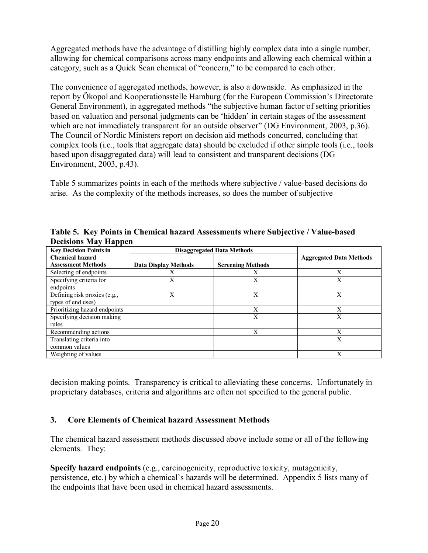Aggregated methods have the advantage of distilling highly complex data into a single number, allowing for chemical comparisons across many endpoints and allowing each chemical within a category, such as a Quick Scan chemical of "concern," to be compared to each other.

The convenience of aggregated methods, however, is also a downside. As emphasized in the report by Ökopol and Kooperationsstelle Hamburg (for the European Commission's Directorate General Environment), in aggregated methods "the subjective human factor of setting priorities based on valuation and personal judgments can be 'hidden' in certain stages of the assessment which are not immediately transparent for an outside observer" (DG Environment, 2003, p.36). The Council of Nordic Ministers report on decision aid methods concurred, concluding that complex tools (i.e., tools that aggregate data) should be excluded if other simple tools (i.e., tools based upon disaggregated data) will lead to consistent and transparent decisions (DG Environment, 2003, p.43).

Table 5 summarizes points in each of the methods where subjective / value-based decisions do arise. As the complexity of the methods increases, so does the number of subjective

| . .                           |                                   |                          |                                |
|-------------------------------|-----------------------------------|--------------------------|--------------------------------|
| <b>Key Decision Points in</b> | <b>Disaggregated Data Methods</b> |                          |                                |
| <b>Chemical hazard</b>        |                                   |                          | <b>Aggregated Data Methods</b> |
| <b>Assessment Methods</b>     | Data Display Methods              | <b>Screening Methods</b> |                                |
| Selecting of endpoints        | X                                 | Х                        | X                              |
| Specifying criteria for       | Х                                 | X                        | X                              |
| endpoints                     |                                   |                          |                                |
| Defining risk proxies (e.g.,  | Х                                 | Х                        | Х                              |
| types of end uses)            |                                   |                          |                                |
| Prioritizing hazard endpoints |                                   | X                        | X                              |
| Specifying decision making    |                                   | X                        | Х                              |
| rules                         |                                   |                          |                                |
| Recommending actions          |                                   | X                        | Х                              |
| Translating criteria into     |                                   |                          | X                              |
| common values                 |                                   |                          |                                |
| Weighting of values           |                                   |                          | X                              |

**Table 5. Key Points in Chemical hazard Assessments where Subjective / Value-based Decisions May Happen** 

decision making points. Transparency is critical to alleviating these concerns. Unfortunately in proprietary databases, criteria and algorithms are often not specified to the general public.

# **3. Core Elements of Chemical hazard Assessment Methods**

The chemical hazard assessment methods discussed above include some or all of the following elements. They:

**Specify hazard endpoints** (e.g., carcinogenicity, reproductive toxicity, mutagenicity, persistence, etc.) by which a chemical's hazards will be determined. Appendix 5 lists many of the endpoints that have been used in chemical hazard assessments.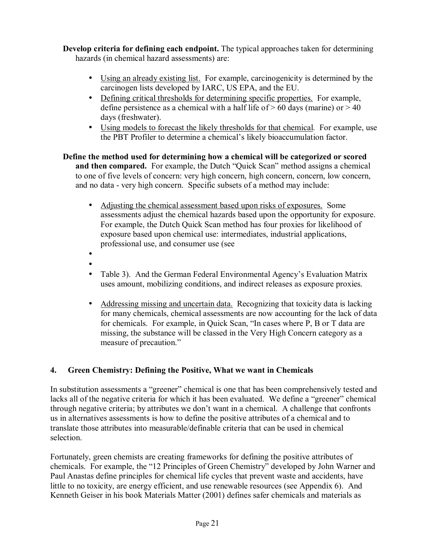**Develop criteria for defining each endpoint.** The typical approaches taken for determining hazards (in chemical hazard assessments) are:

- Using an already existing list. For example, carcinogenicity is determined by the carcinogen lists developed by IARC, US EPA, and the EU.
- Defining critical thresholds for determining specific properties. For example, define persistence as a chemical with a half life of  $> 60$  days (marine) or  $> 40$ days (freshwater).
- Using models to forecast the likely thresholds for that chemical. For example, use the PBT Profiler to determine a chemical's likely bioaccumulation factor.

**Define the method used for determining how a chemical will be categorized or scored**  and then compared. For example, the Dutch "Quick Scan" method assigns a chemical to one of five levels of concern: very high concern, high concern, concern, low concern, and no data - very high concern. Specific subsets of a method may include:

- Adjusting the chemical assessment based upon risks of exposures.Some assessments adjust the chemical hazards based upon the opportunity for exposure. For example, the Dutch Quick Scan method has four proxies for likelihood of exposure based upon chemical use: intermediates, industrial applications, professional use, and consumer use (see
- •
- Table 3). And the German Federal Environmental Agency's Evaluation Matrix uses amount, mobilizing conditions, and indirect releases as exposure proxies.
- Addressing missing and uncertain data. Recognizing that toxicity data is lacking for many chemicals, chemical assessments are now accounting for the lack of data for chemicals. For example, in Quick Scan,  $\lq$  and  $\lq$  are P, B or T data are missing, the substance will be classed in the Very High Concern category as a measure of precaution."

# **4. Green Chemistry: Defining the Positive, What we want in Chemicals**

In substitution assessments a "greener" chemical is one that has been comprehensively tested and lacks all of the negative criteria for which it has been evaluated. We define a "greener" chemical through negative criteria; by attributes we don't want in a chemical. A challenge that confronts us in alternatives assessments is how to define the positive attributes of a chemical and to translate those attributes into measurable/definable criteria that can be used in chemical selection.

Fortunately, green chemists are creating frameworks for defining the positive attributes of chemicals. For example, the "12 Principles of Green Chemistry" developed by John Warner and Paul Anastas define principles for chemical life cycles that prevent waste and accidents, have little to no toxicity, are energy efficient, and use renewable resources (see Appendix 6). And Kenneth Geiser in his book Materials Matter (2001) defines safer chemicals and materials as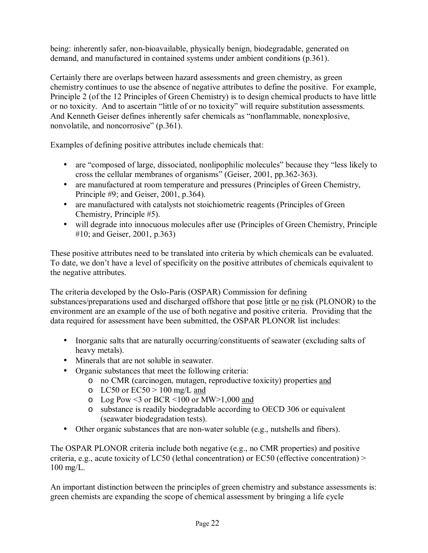being: inherently safer, non-bioavailable, physically benign, biodegradable, generated on demand, and manufactured in contained systems under ambient conditions (p.361).

Certainly there are overlaps between hazard assessments and green chemistry, as green chemistry continues to use the absence of negative attributes to define the positive. For example, Principle 2 (of the 12 Principles of Green Chemistry) is to design chemical products to have little or no toxicity. And to ascertain "little of or no toxicity" will require substitution assessments. And Kenneth Geiser defines inherently safer chemicals as "nonflammable, nonexplosive, nonvolatile, and noncorrosive"  $(p.361)$ .

Examples of defining positive attributes include chemicals that:

- are "composed of large, dissociated, nonlipophilic molecules" because they "less likely to cross the cellular membranes of organisms" (Geiser, 2001, pp.362-363).
- are manufactured at room temperature and pressures (Principles of Green Chemistry, Principle #9; and Geiser, 2001, p.364).
- are manufactured with catalysts not stoichiometric reagents (Principles of Green Chemistry, Principle #5).
- will degrade into innocuous molecules after use (Principles of Green Chemistry, Principle #10; and Geiser, 2001, p.363)

These positive attributes need to be translated into criteria by which chemicals can be evaluated. To date, we don't have a level of specificity on the positive attributes of chemicals equivalent to the negative attributes.

The criteria developed by the Oslo-Paris (OSPAR) Commission for defining substances/preparations used and discharged offshore that pose little or no risk (PLONOR) to the environment are an example of the use of both negative and positive criteria. Providing that the data required for assessment have been submitted, the OSPAR PLONOR list includes:

- Inorganic salts that are naturally occurring/constituents of seawater (excluding salts of heavy metals).
- Minerals that are not soluble in seawater.
- Organic substances that meet the following criteria:
	- o no CMR (carcinogen, mutagen, reproductive toxicity) properties and
	- $\circ$  LC50 or EC50 > 100 mg/L and
	- $\circ$  Log Pow <3 or BCR <100 or MW>1,000 and
	- o substance is readily biodegradable according to OECD 306 or equivalent (seawater biodegradation tests).
- Other organic substances that are non-water soluble (e.g., nutshells and fibers).

The OSPAR PLONOR criteria include both negative (e.g., no CMR properties) and positive criteria, e.g., acute toxicity of LC50 (lethal concentration) or EC50 (effective concentration) > 100 mg/L.

An important distinction between the principles of green chemistry and substance assessments is: green chemists are expanding the scope of chemical assessment by bringing a life cycle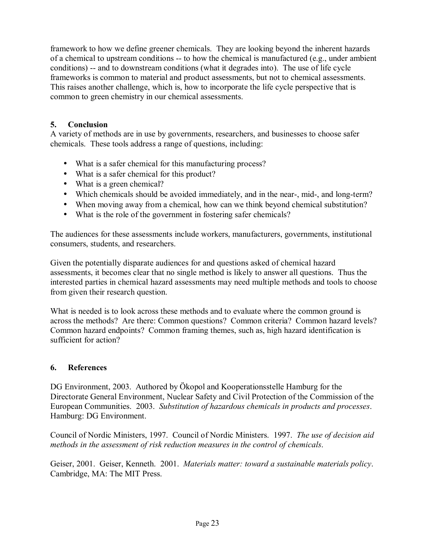framework to how we define greener chemicals. They are looking beyond the inherent hazards of a chemical to upstream conditions -- to how the chemical is manufactured (e.g., under ambient conditions) -- and to downstream conditions (what it degrades into). The use of life cycle frameworks is common to material and product assessments, but not to chemical assessments. This raises another challenge, which is, how to incorporate the life cycle perspective that is common to green chemistry in our chemical assessments.

## **5. Conclusion**

A variety of methods are in use by governments, researchers, and businesses to choose safer chemicals. These tools address a range of questions, including:

- What is a safer chemical for this manufacturing process?
- What is a safer chemical for this product?
- What is a green chemical?
- Which chemicals should be avoided immediately, and in the near-, mid-, and long-term?
- When moving away from a chemical, how can we think beyond chemical substitution?
- What is the role of the government in fostering safer chemicals?

The audiences for these assessments include workers, manufacturers, governments, institutional consumers, students, and researchers.

Given the potentially disparate audiences for and questions asked of chemical hazard assessments, it becomes clear that no single method is likely to answer all questions. Thus the interested parties in chemical hazard assessments may need multiple methods and tools to choose from given their research question.

What is needed is to look across these methods and to evaluate where the common ground is across the methods? Are there: Common questions? Common criteria? Common hazard levels? Common hazard endpoints? Common framing themes, such as, high hazard identification is sufficient for action?

## **6. References**

DG Environment, 2003. Authored by Okopol and Kooperationsstelle Hamburg for the Directorate General Environment, Nuclear Safety and Civil Protection of the Commission of the European Communities. 2003. *Substitution of hazardous chemicals in products and processes*. Hamburg: DG Environment.

Council of Nordic Ministers, 1997. Council of Nordic Ministers. 1997. *The use of decision aid methods in the assessment of risk reduction measures in the control of chemicals*.

Geiser, 2001. Geiser, Kenneth. 2001. *Materials matter: toward a sustainable materials policy*. Cambridge, MA: The MIT Press.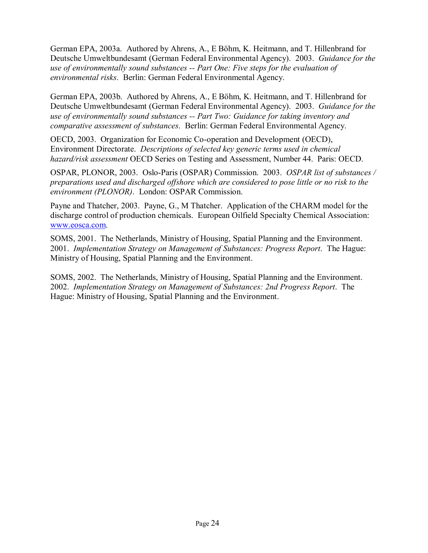German EPA, 2003a. Authored by Ahrens, A., E Böhm, K. Heitmann, and T. Hillenbrand for Deutsche Umweltbundesamt (German Federal Environmental Agency). 2003. *Guidance for the use of environmentally sound substances -- Part One: Five steps for the evaluation of environmental risks*. Berlin: German Federal Environmental Agency.

German EPA, 2003b. Authored by Ahrens, A., E Böhm, K. Heitmann, and T. Hillenbrand for Deutsche Umweltbundesamt (German Federal Environmental Agency). 2003. *Guidance for the use of environmentally sound substances -- Part Two: Guidance for taking inventory and comparative assessment of substances*. Berlin: German Federal Environmental Agency.

OECD, 2003. Organization for Economic Co-operation and Development (OECD), Environment Directorate. *Descriptions of selected key generic terms used in chemical hazard/risk assessment* OECD Series on Testing and Assessment, Number 44. Paris: OECD.

OSPAR, PLONOR, 2003. Oslo-Paris (OSPAR) Commission. 2003. *OSPAR list of substances / preparations used and discharged offshore which are considered to pose little or no risk to the environment (PLONOR)*. London: OSPAR Commission.

Payne and Thatcher, 2003. Payne, G., M Thatcher. Application of the CHARM model for the discharge control of production chemicals. European Oilfield Specialty Chemical Association: www.eosca.com.

SOMS, 2001. The Netherlands, Ministry of Housing, Spatial Planning and the Environment. 2001. *Implementation Strategy on Management of Substances: Progress Report*. The Hague: Ministry of Housing, Spatial Planning and the Environment.

SOMS, 2002. The Netherlands, Ministry of Housing, Spatial Planning and the Environment. 2002. *Implementation Strategy on Management of Substances: 2nd Progress Report*. The Hague: Ministry of Housing, Spatial Planning and the Environment.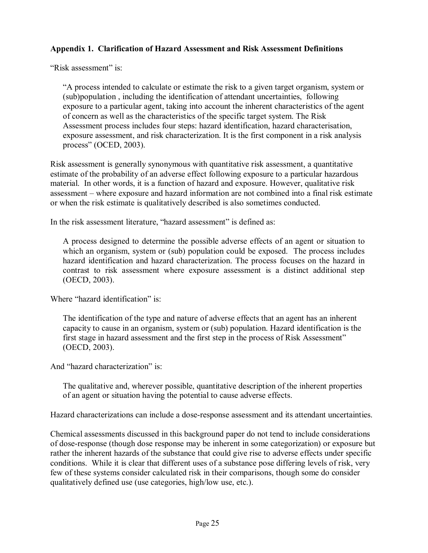## **Appendix 1. Clarification of Hazard Assessment and Risk Assessment Definitions**

"Risk assessment" is:

ìA process intended to calculate or estimate the risk to a given target organism, system or (sub)population , including the identification of attendant uncertainties, following exposure to a particular agent, taking into account the inherent characteristics of the agent of concern as well as the characteristics of the specific target system. The Risk Assessment process includes four steps: hazard identification, hazard characterisation, exposure assessment, and risk characterization. It is the first component in a risk analysis process" (OCED, 2003).

Risk assessment is generally synonymous with quantitative risk assessment, a quantitative estimate of the probability of an adverse effect following exposure to a particular hazardous material. In other words, it is a function of hazard and exposure. However, qualitative risk assessment – where exposure and hazard information are not combined into a final risk estimate or when the risk estimate is qualitatively described is also sometimes conducted.

In the risk assessment literature, "hazard assessment" is defined as:

A process designed to determine the possible adverse effects of an agent or situation to which an organism, system or (sub) population could be exposed. The process includes hazard identification and hazard characterization. The process focuses on the hazard in contrast to risk assessment where exposure assessment is a distinct additional step (OECD, 2003).

Where "hazard identification" is:

The identification of the type and nature of adverse effects that an agent has an inherent capacity to cause in an organism, system or (sub) population. Hazard identification is the first stage in hazard assessment and the first step in the process of Risk Assessment" (OECD, 2003).

And "hazard characterization" is:

The qualitative and, wherever possible, quantitative description of the inherent properties of an agent or situation having the potential to cause adverse effects.

Hazard characterizations can include a dose-response assessment and its attendant uncertainties.

Chemical assessments discussed in this background paper do not tend to include considerations of dose-response (though dose response may be inherent in some categorization) or exposure but rather the inherent hazards of the substance that could give rise to adverse effects under specific conditions. While it is clear that different uses of a substance pose differing levels of risk, very few of these systems consider calculated risk in their comparisons, though some do consider qualitatively defined use (use categories, high/low use, etc.).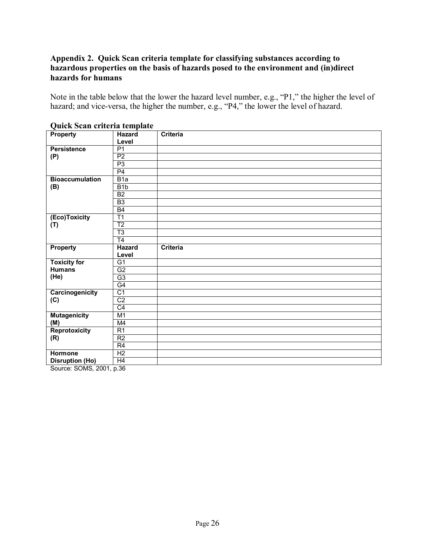## **Appendix 2. Quick Scan criteria template for classifying substances according to hazardous properties on the basis of hazards posed to the environment and (in)direct hazards for humans**

Note in the table below that the lower the hazard level number, e.g., "P1," the higher the level of hazard; and vice-versa, the higher the number, e.g., "P4," the lower the level of hazard.

| <b>Property</b>                                                                                           | Hazard           | Criteria |
|-----------------------------------------------------------------------------------------------------------|------------------|----------|
|                                                                                                           | Level            |          |
| <b>Persistence</b>                                                                                        | P <sub>1</sub>   |          |
| (P)                                                                                                       | P <sub>2</sub>   |          |
|                                                                                                           | P <sub>3</sub>   |          |
|                                                                                                           | P4               |          |
| <b>Bioaccumulation</b>                                                                                    | B1a              |          |
| (B)                                                                                                       | B <sub>1</sub> b |          |
|                                                                                                           | B2               |          |
|                                                                                                           | B <sub>3</sub>   |          |
|                                                                                                           | B4               |          |
| (Eco)Toxicity                                                                                             | T1               |          |
| (T)                                                                                                       | T <sub>2</sub>   |          |
|                                                                                                           | T3               |          |
|                                                                                                           | T <sub>4</sub>   |          |
| <b>Property</b>                                                                                           | <b>Hazard</b>    | Criteria |
|                                                                                                           |                  |          |
|                                                                                                           | Level            |          |
| <b>Toxicity for</b>                                                                                       | G <sub>1</sub>   |          |
| <b>Humans</b>                                                                                             | G2               |          |
| (He)                                                                                                      | G3               |          |
|                                                                                                           | G4               |          |
| Carcinogenicity                                                                                           | C <sub>1</sub>   |          |
| (C)                                                                                                       | C <sub>2</sub>   |          |
|                                                                                                           | C4               |          |
| <b>Mutagenicity</b>                                                                                       | M1               |          |
| (M)                                                                                                       | M4               |          |
| <b>Reprotoxicity</b>                                                                                      | R1               |          |
| (R)                                                                                                       | R <sub>2</sub>   |          |
|                                                                                                           | R4               |          |
| <b>Hormone</b>                                                                                            | H <sub>2</sub>   |          |
| <b>Disruption (Ho)</b><br>$P_{\text{out}}$ $\Omega$ $\Omega$ $\Omega$ $\Omega$ $\Omega$ $\Omega$ $\Omega$ | H4               |          |

#### **Quick Scan criteria template**

Source: SOMS, 2001, p.36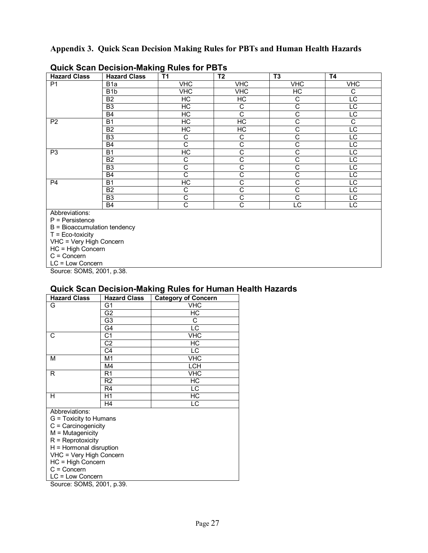## **Appendix 3. Quick Scan Decision Making Rules for PBTs and Human Health Hazards**

| <b>Hazard Class</b>                                         | <b>Hazard Class</b> | J<br><b>T1</b>          | T <sub>2</sub>        | T <sub>3</sub>        | <b>T4</b>       |  |  |  |  |
|-------------------------------------------------------------|---------------------|-------------------------|-----------------------|-----------------------|-----------------|--|--|--|--|
| P <sub>1</sub>                                              | B <sub>1</sub> a    | <b>VHC</b>              | <b>VHC</b>            | <b>VHC</b>            | <b>VHC</b>      |  |  |  |  |
|                                                             | B <sub>1</sub> b    | $\overline{\text{VHC}}$ | VHC                   | H <sub>C</sub>        | С               |  |  |  |  |
|                                                             | B <sub>2</sub>      | HC                      | H <sub>C</sub>        | C                     | $\overline{LC}$ |  |  |  |  |
|                                                             | B <sub>3</sub>      | HC                      | C                     | $\overline{\text{c}}$ | $\overline{LC}$ |  |  |  |  |
|                                                             | <b>B4</b>           | $\overline{\rm HC}$     | $\overline{\text{c}}$ | $\overline{\text{c}}$ | LC              |  |  |  |  |
| P <sub>2</sub>                                              | <b>B1</b>           | НC                      | HC                    | С                     | C               |  |  |  |  |
|                                                             | <b>B2</b>           | H <sub>C</sub>          | H <sub>C</sub>        | C                     | $\overline{LC}$ |  |  |  |  |
|                                                             | B <sub>3</sub>      | C                       | C                     | $\overline{\text{c}}$ | $\overline{LC}$ |  |  |  |  |
|                                                             | <b>B4</b>           | $\overline{\text{c}}$   | $\overline{\text{c}}$ | $\overline{\text{c}}$ | $\overline{LC}$ |  |  |  |  |
| P <sub>3</sub>                                              | <b>B1</b>           | $\overline{\rm HC}$     | C                     | C                     | LC              |  |  |  |  |
|                                                             | <b>B2</b>           | С                       | C                     | C                     | LC              |  |  |  |  |
|                                                             | B <sub>3</sub>      | С                       | C                     | C                     | LC              |  |  |  |  |
|                                                             | <b>B4</b>           | $\overline{\text{c}}$   | C                     | $\overline{\text{c}}$ | $\overline{LC}$ |  |  |  |  |
| P <sub>4</sub>                                              | B1                  | НC                      | C                     | $\overline{\text{c}}$ | $\overline{LC}$ |  |  |  |  |
|                                                             | B <sub>2</sub>      | С                       | C                     | C                     | LC              |  |  |  |  |
|                                                             | B <sub>3</sub>      | С                       | C                     | C                     | LC              |  |  |  |  |
|                                                             | <b>B4</b>           | C                       | C                     | LC                    | LC              |  |  |  |  |
| Abbreviations:                                              |                     |                         |                       |                       |                 |  |  |  |  |
| $P =$ Persistence                                           |                     |                         |                       |                       |                 |  |  |  |  |
| B = Bioaccumulation tendency                                |                     |                         |                       |                       |                 |  |  |  |  |
| $T = Eco-toxicity$                                          |                     |                         |                       |                       |                 |  |  |  |  |
| VHC = Very High Concern<br>$110 - 1$ that $0 \leq x \leq 1$ |                     |                         |                       |                       |                 |  |  |  |  |

## **Quick Scan Decision-Making Rules for PBTs**

HC = High Concern

C = Concern LC = Low Concern

Source: SOMS, 2001, p.38.

#### **Quick Scan Decision-Making Rules for Human Health Hazards**

| <b>Hazard Class</b>     | <b>Hazard Class</b> | <b>Category of Concern</b> |  |  |  |  |  |
|-------------------------|---------------------|----------------------------|--|--|--|--|--|
| G                       | G1                  | <b>VHC</b>                 |  |  |  |  |  |
|                         | G2                  | $\overline{\text{HC}}$     |  |  |  |  |  |
|                         | G3                  | С                          |  |  |  |  |  |
|                         | G4                  | LC                         |  |  |  |  |  |
| С                       | C1                  | <b>VHC</b>                 |  |  |  |  |  |
|                         | $\overline{C2}$     | H <sub>C</sub>             |  |  |  |  |  |
|                         | C4                  | LC                         |  |  |  |  |  |
| М                       | M1                  | <b>VHC</b>                 |  |  |  |  |  |
|                         | M4                  | LCH                        |  |  |  |  |  |
| R                       | R <sub>1</sub>      | <b>VHC</b>                 |  |  |  |  |  |
|                         | R <sub>2</sub>      | НC                         |  |  |  |  |  |
|                         | R <sub>4</sub>      | LC                         |  |  |  |  |  |
| н                       | H1                  | НC                         |  |  |  |  |  |
|                         | H4                  | LC                         |  |  |  |  |  |
| Abbreviations:          |                     |                            |  |  |  |  |  |
| G = Toxicity to Humans  |                     |                            |  |  |  |  |  |
| C = Carcinogenicity     |                     |                            |  |  |  |  |  |
| $M = Mutagenicity$      |                     |                            |  |  |  |  |  |
| $R = Reprotoxicity$     |                     |                            |  |  |  |  |  |
| H = Hormonal disruption |                     |                            |  |  |  |  |  |
| VHC = Very High Concern |                     |                            |  |  |  |  |  |
|                         | HC = High Concern   |                            |  |  |  |  |  |
| $C =$ Concern           |                     |                            |  |  |  |  |  |
| LC = Low Concern        |                     |                            |  |  |  |  |  |

Source: SOMS, 2001, p.39.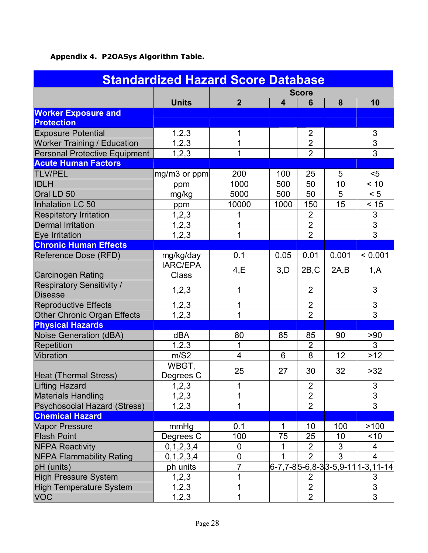# **Appendix 4. P2OASys Algorithm Table.**

| <b>Standardized Hazard Score Database</b> |                    |                |                         |                |       |                                  |  |
|-------------------------------------------|--------------------|----------------|-------------------------|----------------|-------|----------------------------------|--|
|                                           |                    |                |                         | <b>Score</b>   |       |                                  |  |
|                                           | <b>Units</b>       | $\overline{2}$ | $\overline{\mathbf{4}}$ | 6              | 8     | 10                               |  |
| <b>Worker Exposure and</b>                |                    |                |                         |                |       |                                  |  |
| <b>Protection</b>                         |                    |                |                         |                |       |                                  |  |
| <b>Exposure Potential</b>                 | 1,2,3              |                |                         | 2              |       | 3                                |  |
| <b>Worker Training / Education</b>        | 1, 2, 3            | 1              |                         | $\overline{2}$ |       | 3                                |  |
| Personal Protective Equipment             | 1, 2, 3            | $\mathbf{1}$   |                         | $\overline{2}$ |       | $\overline{3}$                   |  |
| <b>Acute Human Factors</b>                |                    |                |                         |                |       |                                  |  |
| <b>TLV/PEL</b>                            | mg/m3 or ppm       | 200            | 100                     | 25             | 5     | $5$                              |  |
| <b>IDLH</b>                               | ppm                | 1000           | 500                     | 50             | 10    | < 10                             |  |
| Oral LD 50                                | mg/kg              | 5000           | 500                     | 50             | 5     | < 5                              |  |
| Inhalation LC 50                          | ppm                | 10000          | 1000                    | 150            | 15    | < 15                             |  |
| <b>Respitatory Irritation</b>             | 1, 2, 3            | 1              |                         | $\overline{2}$ |       | 3                                |  |
| <b>Dermal Irritation</b>                  | 1, 2, 3            | 1              |                         | $\overline{2}$ |       | $\overline{3}$                   |  |
| <b>Eye Irritation</b>                     | 1, 2, 3            | $\mathbf{1}$   |                         | $\overline{2}$ |       | $\overline{3}$                   |  |
| <b>Chronic Human Effects</b>              |                    |                |                         |                |       |                                  |  |
| Reference Dose (RFD)                      | mg/kg/day          | 0.1            | 0.05                    | 0.01           | 0.001 | < 0.001                          |  |
|                                           | <b>IARC/EPA</b>    | 4, E           | 3,D                     | 2B,C           | 2A,B  | 1, A                             |  |
| <b>Carcinogen Rating</b>                  | <b>Class</b>       |                |                         |                |       |                                  |  |
| <b>Respiratory Sensitivity /</b>          | 1,2,3              | 1              |                         | $\overline{2}$ |       | 3                                |  |
| <b>Disease</b>                            |                    |                |                         |                |       |                                  |  |
| <b>Reproductive Effects</b>               | 1, 2, 3            | 1              |                         | 2              |       | $\mathfrak{S}$                   |  |
| <b>Other Chronic Organ Effects</b>        | 1,2,3              | $\overline{1}$ |                         | $\overline{2}$ |       | $\overline{3}$                   |  |
| <b>Physical Hazards</b>                   |                    |                |                         |                |       |                                  |  |
| Noise Generation (dBA)                    | dBA                | 80             | 85                      | 85             | 90    | > 90                             |  |
| <b>Repetition</b>                         | 1, 2, 3            | 1              |                         | $\overline{2}$ |       | 3                                |  |
| Vibration                                 | m/S2               | 4              | 6                       | 8              | 12    | $>12$                            |  |
|                                           | WBGT,              | 25             | 27                      | 30             | 32    | >32                              |  |
| Heat (Thermal Stress)                     | Degrees C          |                |                         |                |       |                                  |  |
| <b>Lifting Hazard</b>                     | 1, 2, 3            | 1              |                         | $\overline{2}$ |       | $\mathsf 3$                      |  |
| <b>Materials Handling</b>                 | 1,2,3              | 1              |                         | $\overline{2}$ |       | 3                                |  |
| <b>Psychosocial Hazard (Stress)</b>       | 1, 2, 3            | 1              |                         | $\overline{2}$ |       | 3                                |  |
| <b>Chemical Hazard</b>                    |                    |                |                         |                |       |                                  |  |
| <b>Vapor Pressure</b>                     | mmHg               | 0.1            | 1                       | 10             | 100   | >100                             |  |
| <b>Flash Point</b>                        | Degrees C          | 100            | 75                      | 25             | 10    | < 10                             |  |
| <b>NFPA Reactivity</b>                    | 0, 1, 2, 3, 4      | 0              |                         | $\overline{2}$ | 3     | 4                                |  |
| <b>NFPA Flammability Rating</b>           | 0, 1, 2, 3, 4      | 0              |                         | $\overline{2}$ | 3     | 4                                |  |
| pH (units)                                | ph units           | $\overline{7}$ |                         |                |       | 6-7,7-85-6,8-33-5,9-11 1-3,11-14 |  |
| <b>High Pressure System</b>               | 1,2,3              | 1              |                         | 2              |       | 3                                |  |
| <b>High Temperature System</b>            | $1,\overline{2,3}$ | 1              |                         | $\overline{2}$ |       | 3                                |  |
| <b>VOC</b>                                | 1, 2, 3            | 1              |                         | $\overline{2}$ |       | $\overline{3}$                   |  |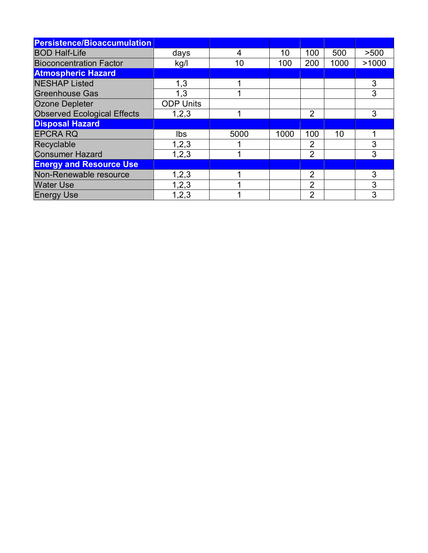| <b>Persistence/Bioaccumulation</b> |                  |      |      |                |                 |       |
|------------------------------------|------------------|------|------|----------------|-----------------|-------|
| <b>BOD Half-Life</b>               | days             | 4    | 10   | 100            | 500             | >500  |
| <b>Bioconcentration Factor</b>     | kg/l             | 10   | 100  | 200            | 1000            | >1000 |
| <b>Atmospheric Hazard</b>          |                  |      |      |                |                 |       |
| <b>NESHAP Listed</b>               | 1,3              |      |      |                |                 | 3     |
| <b>Greenhouse Gas</b>              | 1,3              |      |      |                |                 | 3     |
| Ozone Depleter                     | <b>ODP Units</b> |      |      |                |                 |       |
| <b>Observed Ecological Effects</b> | 1,2,3            |      |      | $\overline{2}$ |                 | 3     |
| <b>Disposal Hazard</b>             |                  |      |      |                |                 |       |
| <b>EPCRA RQ</b>                    | Ibs              | 5000 | 1000 | 100            | 10 <sup>1</sup> |       |
| Recyclable                         | 1, 2, 3          |      |      | 2              |                 | 3     |
| <b>Consumer Hazard</b>             | 1,2,3            |      |      | $\overline{2}$ |                 | 3     |
| <b>Energy and Resource Use</b>     |                  |      |      |                |                 |       |
| Non-Renewable resource             | 1,2,3            |      |      | $\overline{2}$ |                 | 3     |
| <b>Water Use</b>                   | 1,2,3            |      |      | $\overline{2}$ |                 | 3     |
| <b>Energy Use</b>                  | 1,2,3            |      |      | $\overline{2}$ |                 | 3     |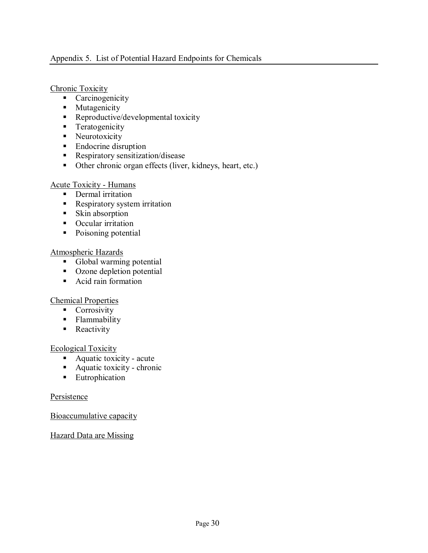#### Appendix 5. List of Potential Hazard Endpoints for Chemicals

#### Chronic Toxicity

- $\overline{\phantom{a}}$  Carcinogenicity
- **EXECUTE:** Mutagenicity
- **EXECUTE:** Reproductive/developmental toxicity
- **Teratogenicity**
- Neurotoxicity
- Endocrine disruption
- **EXECUTE:** Respiratory sensitization/disease
- ! Other chronic organ effects (liver, kidneys, heart, etc.)

#### Acute Toxicity - Humans

- **•** Dermal irritation
- **EXECUTE:** Respiratory system irritation
- **Example 1** Skin absorption
- Occular irritation
- Poisoning potential

#### Atmospheric Hazards

- ! Global warming potential
- Ozone depletion potential
- Acid rain formation

## Chemical Properties

- **Corrosivity**
- **Example 1** Flammability
- **Reactivity**

#### Ecological Toxicity

- ! Aquatic toxicity acute
- ! Aquatic toxicity chronic
- **Eutrophication**

#### Persistence

Bioaccumulative capacity

Hazard Data are Missing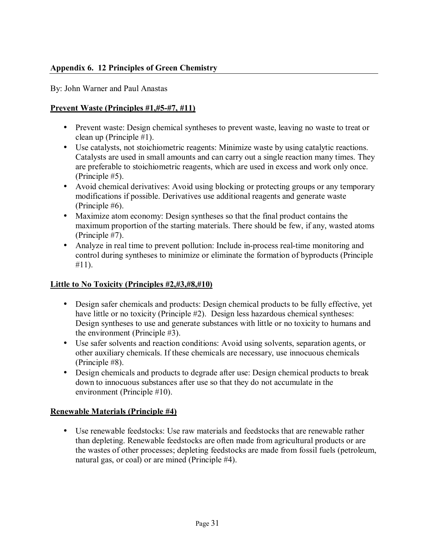## **Appendix 6. 12 Principles of Green Chemistry**

By: John Warner and Paul Anastas

## **Prevent Waste (Principles #1,#5-#7, #11)**

- Prevent waste: Design chemical syntheses to prevent waste, leaving no waste to treat or clean up (Principle #1).
- Use catalysts, not stoichiometric reagents: Minimize waste by using catalytic reactions. Catalysts are used in small amounts and can carry out a single reaction many times. They are preferable to stoichiometric reagents, which are used in excess and work only once. (Principle #5).
- Avoid chemical derivatives: Avoid using blocking or protecting groups or any temporary modifications if possible. Derivatives use additional reagents and generate waste (Principle #6).
- Maximize atom economy: Design syntheses so that the final product contains the maximum proportion of the starting materials. There should be few, if any, wasted atoms (Principle #7).
- Analyze in real time to prevent pollution: Include in-process real-time monitoring and control during syntheses to minimize or eliminate the formation of byproducts (Principle #11).

## **Little to No Toxicity (Principles #2,#3,#8,#10)**

- Design safer chemicals and products: Design chemical products to be fully effective, yet have little or no toxicity (Principle #2). Design less hazardous chemical syntheses: Design syntheses to use and generate substances with little or no toxicity to humans and the environment (Principle #3).
- Use safer solvents and reaction conditions: Avoid using solvents, separation agents, or other auxiliary chemicals. If these chemicals are necessary, use innocuous chemicals (Principle #8).
- Design chemicals and products to degrade after use: Design chemical products to break down to innocuous substances after use so that they do not accumulate in the environment (Principle #10).

## **Renewable Materials (Principle #4)**

• Use renewable feedstocks: Use raw materials and feedstocks that are renewable rather than depleting. Renewable feedstocks are often made from agricultural products or are the wastes of other processes; depleting feedstocks are made from fossil fuels (petroleum, natural gas, or coal) or are mined (Principle #4).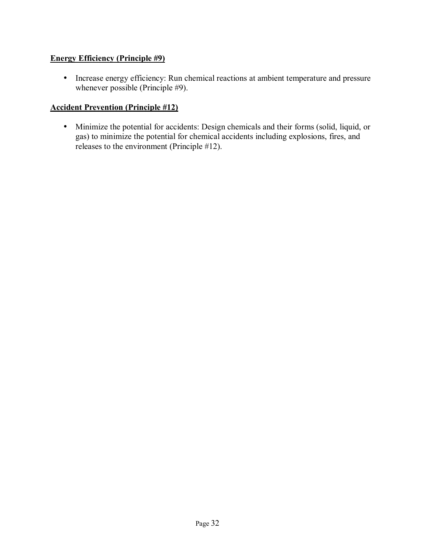## **Energy Efficiency (Principle #9)**

• Increase energy efficiency: Run chemical reactions at ambient temperature and pressure whenever possible (Principle #9).

## **Accident Prevention (Principle #12)**

• Minimize the potential for accidents: Design chemicals and their forms (solid, liquid, or gas) to minimize the potential for chemical accidents including explosions, fires, and releases to the environment (Principle #12).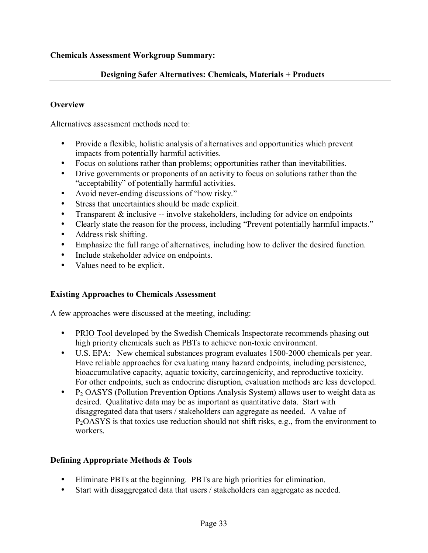## **Designing Safer Alternatives: Chemicals, Materials + Products**

#### **Overview**

Alternatives assessment methods need to:

- Provide a flexible, holistic analysis of alternatives and opportunities which prevent impacts from potentially harmful activities.
- Focus on solutions rather than problems; opportunities rather than inevitabilities.
- Drive governments or proponents of an activity to focus on solutions rather than the "acceptability" of potentially harmful activities.
- Avoid never-ending discussions of "how risky."
- Stress that uncertainties should be made explicit.
- Transparent  $&$  inclusive -- involve stakeholders, including for advice on endpoints
- Clearly state the reason for the process, including "Prevent potentially harmful impacts."
- Address risk shifting.
- Emphasize the full range of alternatives, including how to deliver the desired function.
- Include stakeholder advice on endpoints.
- Values need to be explicit.

## **Existing Approaches to Chemicals Assessment**

A few approaches were discussed at the meeting, including:

- PRIO Tool developed by the Swedish Chemicals Inspectorate recommends phasing out high priority chemicals such as PBTs to achieve non-toxic environment.
- U.S. EPA: New chemical substances program evaluates 1500-2000 chemicals per year. Have reliable approaches for evaluating many hazard endpoints, including persistence, bioaccumulative capacity, aquatic toxicity, carcinogenicity, and reproductive toxicity. For other endpoints, such as endocrine disruption, evaluation methods are less developed.
- P<sub>2</sub> OASYS (Pollution Prevention Options Analysis System) allows user to weight data as desired. Qualitative data may be as important as quantitative data. Start with disaggregated data that users / stakeholders can aggregate as needed. A value of  $P_2OASYS$  is that toxics use reduction should not shift risks, e.g., from the environment to workers.

## **Defining Appropriate Methods & Tools**

- Eliminate PBTs at the beginning. PBTs are high priorities for elimination.
- Start with disaggregated data that users / stakeholders can aggregate as needed.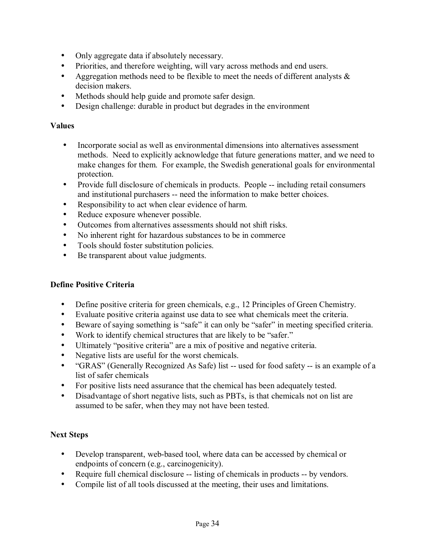- Only aggregate data if absolutely necessary.
- Priorities, and therefore weighting, will vary across methods and end users.
- Aggregation methods need to be flexible to meet the needs of different analysts  $\&$ decision makers.
- Methods should help guide and promote safer design.
- Design challenge: durable in product but degrades in the environment

#### **Values**

- Incorporate social as well as environmental dimensions into alternatives assessment methods. Need to explicitly acknowledge that future generations matter, and we need to make changes for them. For example, the Swedish generational goals for environmental protection.
- Provide full disclosure of chemicals in products. People -- including retail consumers and institutional purchasers -- need the information to make better choices.
- Responsibility to act when clear evidence of harm.
- Reduce exposure whenever possible.
- Outcomes from alternatives assessments should not shift risks.
- No inherent right for hazardous substances to be in commerce
- Tools should foster substitution policies.
- Be transparent about value judgments.

## **Define Positive Criteria**

- Define positive criteria for green chemicals, e.g., 12 Principles of Green Chemistry.
- Evaluate positive criteria against use data to see what chemicals meet the criteria.
- Beware of saying something is "safe" it can only be "safer" in meeting specified criteria.
- Work to identify chemical structures that are likely to be "safer."
- Ultimately "positive criteria" are a mix of positive and negative criteria.
- Negative lists are useful for the worst chemicals.
- "GRAS" (Generally Recognized As Safe) list -- used for food safety -- is an example of a list of safer chemicals
- For positive lists need assurance that the chemical has been adequately tested.
- Disadvantage of short negative lists, such as PBTs, is that chemicals not on list are assumed to be safer, when they may not have been tested.

## **Next Steps**

- Develop transparent, web-based tool, where data can be accessed by chemical or endpoints of concern (e.g., carcinogenicity).
- Require full chemical disclosure -- listing of chemicals in products -- by vendors.
- Compile list of all tools discussed at the meeting, their uses and limitations.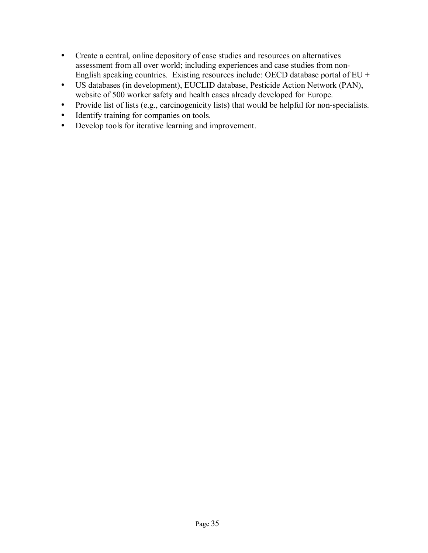- Create a central, online depository of case studies and resources on alternatives assessment from all over world; including experiences and case studies from non-English speaking countries. Existing resources include: OECD database portal of EU +
- US databases (in development), EUCLID database, Pesticide Action Network (PAN), website of 500 worker safety and health cases already developed for Europe.
- Provide list of lists (e.g., carcinogenicity lists) that would be helpful for non-specialists.
- Identify training for companies on tools.
- Develop tools for iterative learning and improvement.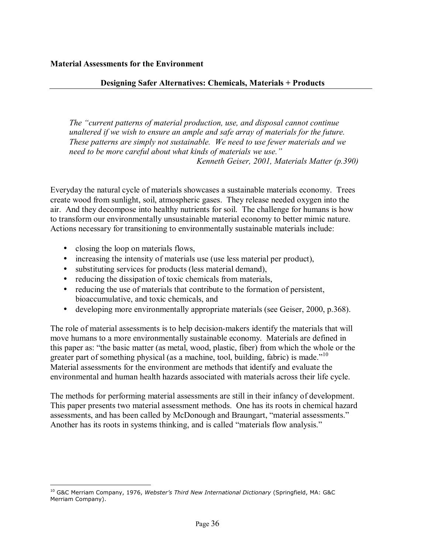#### **Designing Safer Alternatives: Chemicals, Materials + Products**

*The "current patterns of material production, use, and disposal cannot continue unaltered if we wish to ensure an ample and safe array of materials for the future. These patterns are simply not sustainable. We need to use fewer materials and we need to be more careful about what kinds of materials we use.*" *Kenneth Geiser, 2001, Materials Matter (p.390)* 

Everyday the natural cycle of materials showcases a sustainable materials economy. Trees create wood from sunlight, soil, atmospheric gases. They release needed oxygen into the air. And they decompose into healthy nutrients for soil. The challenge for humans is how to transform our environmentally unsustainable material economy to better mimic nature. Actions necessary for transitioning to environmentally sustainable materials include:

- closing the loop on materials flows,
- increasing the intensity of materials use (use less material per product),
- substituting services for products (less material demand),
- reducing the dissipation of toxic chemicals from materials,
- reducing the use of materials that contribute to the formation of persistent, bioaccumulative, and toxic chemicals, and
- developing more environmentally appropriate materials (see Geiser, 2000, p.368).

The role of material assessments is to help decision-makers identify the materials that will move humans to a more environmentally sustainable economy. Materials are defined in this paper as: "the basic matter (as metal, wood, plastic, fiber) from which the whole or the greater part of something physical (as a machine, tool, building, fabric) is made.<sup> $10$ </sup> Material assessments for the environment are methods that identify and evaluate the environmental and human health hazards associated with materials across their life cycle.

The methods for performing material assessments are still in their infancy of development. This paper presents two material assessment methods. One has its roots in chemical hazard assessments, and has been called by McDonough and Braungart, "material assessments." Another has its roots in systems thinking, and is called "materials flow analysis."

 $\overline{a}$ 10 G&C Merriam Company, 1976, *Websterís Third New International Dictionary* (Springfield, MA: G&C Merriam Company).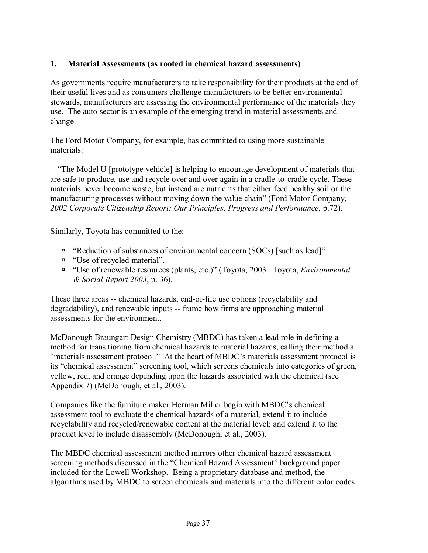## **1. Material Assessments (as rooted in chemical hazard assessments)**

As governments require manufacturers to take responsibility for their products at the end of their useful lives and as consumers challenge manufacturers to be better environmental stewards, manufacturers are assessing the environmental performance of the materials they use. The auto sector is an example of the emerging trend in material assessments and change.

The Ford Motor Company, for example, has committed to using more sustainable materials:

ìThe Model U [prototype vehicle] is helping to encourage development of materials that are safe to produce, use and recycle over and over again in a cradle-to-cradle cycle. These materials never become waste, but instead are nutrients that either feed healthy soil or the manufacturing processes without moving down the value chain" (Ford Motor Company, *2002 Corporate Citizenship Report: Our Principles, Progress and Performance*, p.72).

Similarly, Toyota has committed to the:

- " "Reduction of substances of environmental concern (SOCs) [such as lead]"
- "Use of recycled material".
- <sup>□</sup> "Use of renewable resources (plants, etc.)" (Toyota, 2003. Toyota, *Environmental & Social Report 2003*, p. 36).

These three areas -- chemical hazards, end-of-life use options (recyclability and degradability), and renewable inputs -- frame how firms are approaching material assessments for the environment.

McDonough Braungart Design Chemistry (MBDC) has taken a lead role in defining a method for transitioning from chemical hazards to material hazards, calling their method a "materials assessment protocol." At the heart of MBDC's materials assessment protocol is its "chemical assessment" screening tool, which screens chemicals into categories of green, yellow, red, and orange depending upon the hazards associated with the chemical (see Appendix 7) (McDonough, et al., 2003).

Companies like the furniture maker Herman Miller begin with MBDC's chemical assessment tool to evaluate the chemical hazards of a material, extend it to include recyclability and recycled/renewable content at the material level; and extend it to the product level to include disassembly (McDonough, et al., 2003).

The MBDC chemical assessment method mirrors other chemical hazard assessment screening methods discussed in the "Chemical Hazard Assessment" background paper included for the Lowell Workshop. Being a proprietary database and method, the algorithms used by MBDC to screen chemicals and materials into the different color codes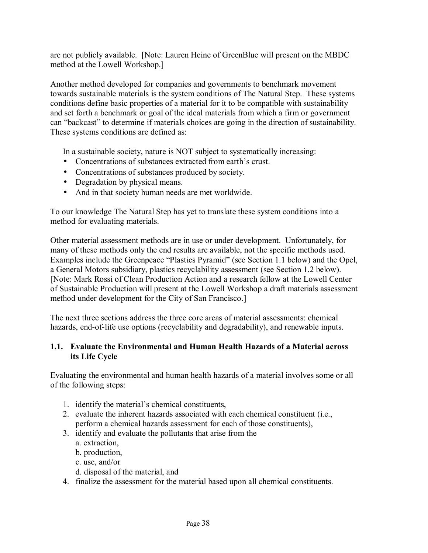are not publicly available. [Note: Lauren Heine of GreenBlue will present on the MBDC method at the Lowell Workshop.]

Another method developed for companies and governments to benchmark movement towards sustainable materials is the system conditions of The Natural Step. These systems conditions define basic properties of a material for it to be compatible with sustainability and set forth a benchmark or goal of the ideal materials from which a firm or government can "backcast" to determine if materials choices are going in the direction of sustainability. These systems conditions are defined as:

In a sustainable society, nature is NOT subject to systematically increasing:

- Concentrations of substances extracted from earth's crust.
- Concentrations of substances produced by society.
- Degradation by physical means.
- And in that society human needs are met worldwide.

To our knowledge The Natural Step has yet to translate these system conditions into a method for evaluating materials.

Other material assessment methods are in use or under development. Unfortunately, for many of these methods only the end results are available, not the specific methods used. Examples include the Greenpeace "Plastics Pyramid" (see Section 1.1 below) and the Opel, a General Motors subsidiary, plastics recyclability assessment (see Section 1.2 below). [Note: Mark Rossi of Clean Production Action and a research fellow at the Lowell Center of Sustainable Production will present at the Lowell Workshop a draft materials assessment method under development for the City of San Francisco.]

The next three sections address the three core areas of material assessments: chemical hazards, end-of-life use options (recyclability and degradability), and renewable inputs.

## **1.1. Evaluate the Environmental and Human Health Hazards of a Material across its Life Cycle**

Evaluating the environmental and human health hazards of a material involves some or all of the following steps:

- 1. identify the material's chemical constituents,
- 2. evaluate the inherent hazards associated with each chemical constituent (i.e., perform a chemical hazards assessment for each of those constituents),
- 3. identify and evaluate the pollutants that arise from the
	- a. extraction,
	- b. production,
	- c. use, and/or
	- d. disposal of the material, and

4. finalize the assessment for the material based upon all chemical constituents.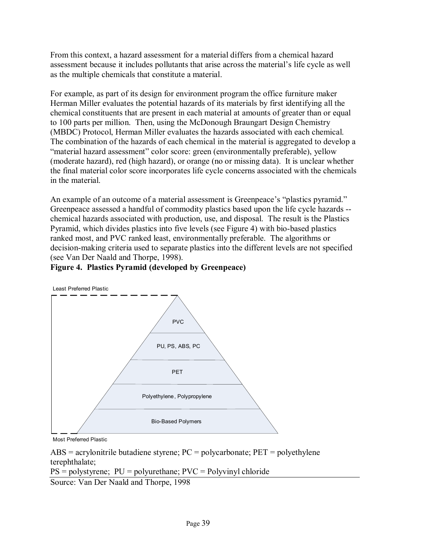From this context, a hazard assessment for a material differs from a chemical hazard assessment because it includes pollutants that arise across the material's life cycle as well as the multiple chemicals that constitute a material.

For example, as part of its design for environment program the office furniture maker Herman Miller evaluates the potential hazards of its materials by first identifying all the chemical constituents that are present in each material at amounts of greater than or equal to 100 parts per million. Then, using the McDonough Braungart Design Chemistry (MBDC) Protocol, Herman Miller evaluates the hazards associated with each chemical. The combination of the hazards of each chemical in the material is aggregated to develop a "material hazard assessment" color score: green (environmentally preferable), yellow (moderate hazard), red (high hazard), or orange (no or missing data). It is unclear whether the final material color score incorporates life cycle concerns associated with the chemicals in the material.

An example of an outcome of a material assessment is Greenpeace's "plastics pyramid." Greenpeace assessed a handful of commodity plastics based upon the life cycle hazards - chemical hazards associated with production, use, and disposal. The result is the Plastics Pyramid, which divides plastics into five levels (see Figure 4) with bio-based plastics ranked most, and PVC ranked least, environmentally preferable. The algorithms or decision-making criteria used to separate plastics into the different levels are not specified (see Van Der Naald and Thorpe, 1998).

## **Figure 4. Plastics Pyramid (developed by Greenpeace)**



Most Preferred Plastic

 $\text{ABS} = \text{acrylonitrile}$  butadiene styrene;  $\text{PC} = \text{polycarbonate}$ ;  $\text{PET} = \text{polyethylene}$ terephthalate;

 $PS = polystyrene; PU = polyurethane; PVC = Polyvinyl chloride$ 

Source: Van Der Naald and Thorpe, 1998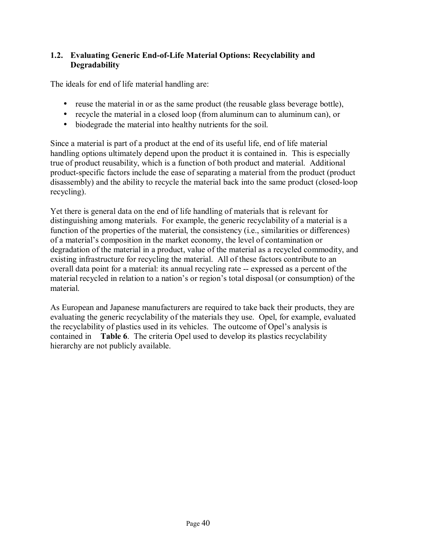# **1.2. Evaluating Generic End-of-Life Material Options: Recyclability and Degradability**

The ideals for end of life material handling are:

- reuse the material in or as the same product (the reusable glass beverage bottle),
- recycle the material in a closed loop (from aluminum can to aluminum can), or
- biodegrade the material into healthy nutrients for the soil.

Since a material is part of a product at the end of its useful life, end of life material handling options ultimately depend upon the product it is contained in. This is especially true of product reusability, which is a function of both product and material. Additional product-specific factors include the ease of separating a material from the product (product disassembly) and the ability to recycle the material back into the same product (closed-loop recycling).

Yet there is general data on the end of life handling of materials that is relevant for distinguishing among materials. For example, the generic recyclability of a material is a function of the properties of the material, the consistency (i.e., similarities or differences) of a material's composition in the market economy, the level of contamination or degradation of the material in a product, value of the material as a recycled commodity, and existing infrastructure for recycling the material. All of these factors contribute to an overall data point for a material: its annual recycling rate -- expressed as a percent of the material recycled in relation to a nation's or region's total disposal (or consumption) of the material.

As European and Japanese manufacturers are required to take back their products, they are evaluating the generic recyclability of the materials they use. Opel, for example, evaluated the recyclability of plastics used in its vehicles. The outcome of Opel's analysis is contained in **Table 6**. The criteria Opel used to develop its plastics recyclability hierarchy are not publicly available.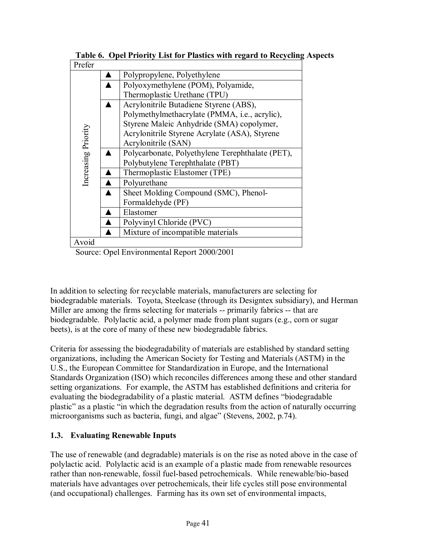| Prefer              |                                                  |  |  |  |
|---------------------|--------------------------------------------------|--|--|--|
| Increasing Priority | Polypropylene, Polyethylene                      |  |  |  |
|                     | Polyoxymethylene (POM), Polyamide,               |  |  |  |
|                     | Thermoplastic Urethane (TPU)                     |  |  |  |
|                     | Acrylonitrile Butadiene Styrene (ABS),           |  |  |  |
|                     | Polymethylmethacrylate (PMMA, i.e., acrylic),    |  |  |  |
|                     | Styrene Maleic Anhydride (SMA) copolymer,        |  |  |  |
|                     | Acrylonitrile Styrene Acrylate (ASA), Styrene    |  |  |  |
|                     | Acrylonitrile (SAN)                              |  |  |  |
|                     | Polycarbonate, Polyethylene Terephthalate (PET), |  |  |  |
|                     | Polybutylene Terephthalate (PBT)                 |  |  |  |
|                     | Thermoplastic Elastomer (TPE)                    |  |  |  |
|                     | Polyurethane                                     |  |  |  |
|                     | Sheet Molding Compound (SMC), Phenol-            |  |  |  |
|                     | Formaldehyde (PF)                                |  |  |  |
|                     | Elastomer                                        |  |  |  |
|                     | Polyvinyl Chloride (PVC)                         |  |  |  |
|                     | Mixture of incompatible materials                |  |  |  |
| Avoid               |                                                  |  |  |  |

 **Table 6. Opel Priority List for Plastics with regard to Recycling Aspects** 

Source: Opel Environmental Report 2000/2001

In addition to selecting for recyclable materials, manufacturers are selecting for biodegradable materials. Toyota, Steelcase (through its Designtex subsidiary), and Herman Miller are among the firms selecting for materials -- primarily fabrics -- that are biodegradable. Polylactic acid, a polymer made from plant sugars (e.g., corn or sugar beets), is at the core of many of these new biodegradable fabrics.

Criteria for assessing the biodegradability of materials are established by standard setting organizations, including the American Society for Testing and Materials (ASTM) in the U.S., the European Committee for Standardization in Europe, and the International Standards Organization (ISO) which reconciles differences among these and other standard setting organizations. For example, the ASTM has established definitions and criteria for evaluating the biodegradability of a plastic material. ASTM defines "biodegradable" plastic" as a plastic "in which the degradation results from the action of naturally occurring microorganisms such as bacteria, fungi, and algae" (Stevens, 2002, p.74).

# **1.3. Evaluating Renewable Inputs**

The use of renewable (and degradable) materials is on the rise as noted above in the case of polylactic acid. Polylactic acid is an example of a plastic made from renewable resources rather than non-renewable, fossil fuel-based petrochemicals. While renewable/bio-based materials have advantages over petrochemicals, their life cycles still pose environmental (and occupational) challenges. Farming has its own set of environmental impacts,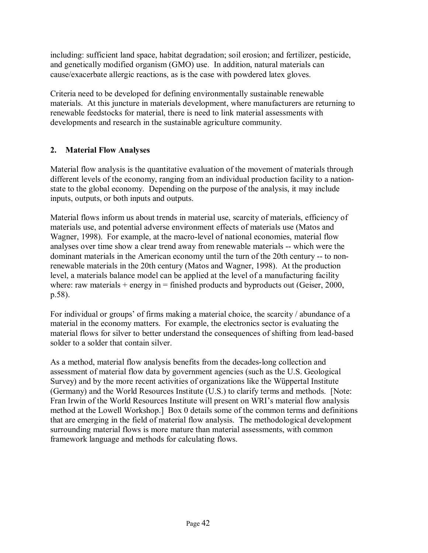including: sufficient land space, habitat degradation; soil erosion; and fertilizer, pesticide, and genetically modified organism (GMO) use. In addition, natural materials can cause/exacerbate allergic reactions, as is the case with powdered latex gloves.

Criteria need to be developed for defining environmentally sustainable renewable materials. At this juncture in materials development, where manufacturers are returning to renewable feedstocks for material, there is need to link material assessments with developments and research in the sustainable agriculture community.

## **2. Material Flow Analyses**

Material flow analysis is the quantitative evaluation of the movement of materials through different levels of the economy, ranging from an individual production facility to a nationstate to the global economy. Depending on the purpose of the analysis, it may include inputs, outputs, or both inputs and outputs.

Material flows inform us about trends in material use, scarcity of materials, efficiency of materials use, and potential adverse environment effects of materials use (Matos and Wagner, 1998). For example, at the macro-level of national economies, material flow analyses over time show a clear trend away from renewable materials -- which were the dominant materials in the American economy until the turn of the 20th century -- to nonrenewable materials in the 20th century (Matos and Wagner, 1998). At the production level, a materials balance model can be applied at the level of a manufacturing facility where: raw materials  $+$  energy in  $=$  finished products and byproducts out (Geiser, 2000, p.58).

For individual or groups' of firms making a material choice, the scarcity / abundance of a material in the economy matters. For example, the electronics sector is evaluating the material flows for silver to better understand the consequences of shifting from lead-based solder to a solder that contain silver.

As a method, material flow analysis benefits from the decades-long collection and assessment of material flow data by government agencies (such as the U.S. Geological Survey) and by the more recent activities of organizations like the Wüppertal Institute (Germany) and the World Resources Institute (U.S.) to clarify terms and methods. [Note: Fran Irwin of the World Resources Institute will present on WRI's material flow analysis method at the Lowell Workshop.] Box 0 details some of the common terms and definitions that are emerging in the field of material flow analysis. The methodological development surrounding material flows is more mature than material assessments, with common framework language and methods for calculating flows.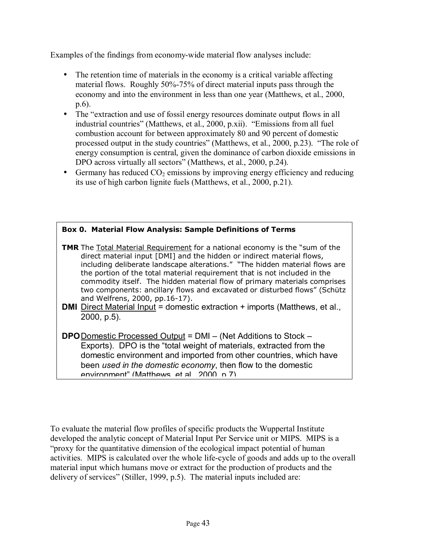Examples of the findings from economy-wide material flow analyses include:

- The retention time of materials in the economy is a critical variable affecting material flows. Roughly 50%-75% of direct material inputs pass through the economy and into the environment in less than one year (Matthews, et al., 2000, p.6).
- The "extraction and use of fossil energy resources dominate output flows in all industrial countries" (Matthews, et al., 2000, p.xii). "Emissions from all fuel combustion account for between approximately 80 and 90 percent of domestic processed output in the study countries" (Matthews, et al., 2000, p.23). "The role of energy consumption is central, given the dominance of carbon dioxide emissions in DPO across virtually all sectors" (Matthews, et al., 2000, p.24).
- Germany has reduced  $CO<sub>2</sub>$  emissions by improving energy efficiency and reducing its use of high carbon lignite fuels (Matthews, et al., 2000, p.21).

| <b>Box 0. Material Flow Analysis: Sample Definitions of Terms</b>                                                                                                                                                                                                                                                                                                                                                                                                                                                                                                                                                                     |
|---------------------------------------------------------------------------------------------------------------------------------------------------------------------------------------------------------------------------------------------------------------------------------------------------------------------------------------------------------------------------------------------------------------------------------------------------------------------------------------------------------------------------------------------------------------------------------------------------------------------------------------|
| <b>TMR</b> The <b>Total Material Requirement</b> for a national economy is the "sum of the<br>direct material input [DMI] and the hidden or indirect material flows,<br>including deliberate landscape alterations." "The hidden material flows are<br>the portion of the total material requirement that is not included in the<br>commodity itself. The hidden material flow of primary materials comprises<br>two components: ancillary flows and excavated or disturbed flows" (Schütz<br>and Welfrens, 2000, pp.16-17).<br><b>DMI</b> Direct Material Input = domestic extraction + imports (Matthews, et al.,<br>$2000, p.5$ ). |
| <b>DPO</b> Domestic Processed Output = DMI – (Net Additions to Stock –<br>Exports). DPO is the "total weight of materials, extracted from the<br>domestic environment and imported from other countries, which have<br>been used in the domestic economy, then flow to the domestic<br>environment" (Matthews et al. 2000 n 7)                                                                                                                                                                                                                                                                                                        |

To evaluate the material flow profiles of specific products the Wuppertal Institute developed the analytic concept of Material Input Per Service unit or MIPS. MIPS is a ìproxy for the quantitative dimension of the ecological impact potential of human activities. MIPS is calculated over the whole life-cycle of goods and adds up to the overall material input which humans move or extract for the production of products and the delivery of services" (Stiller, 1999, p.5). The material inputs included are: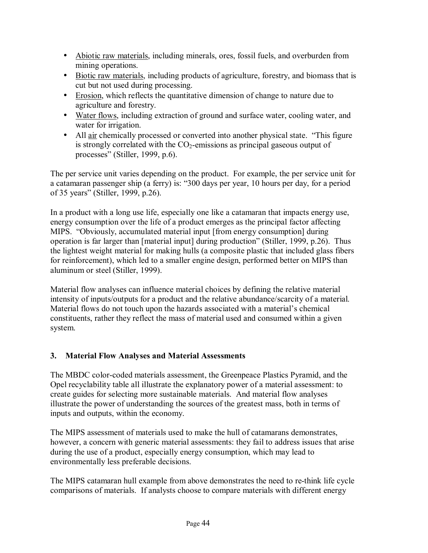- Abiotic raw materials, including minerals, ores, fossil fuels, and overburden from mining operations.
- Biotic raw materials, including products of agriculture, forestry, and biomass that is cut but not used during processing.
- Erosion, which reflects the quantitative dimension of change to nature due to agriculture and forestry.
- Water flows, including extraction of ground and surface water, cooling water, and water for irrigation.
- All air chemically processed or converted into another physical state. "This figure is strongly correlated with the  $CO<sub>2</sub>$ -emissions as principal gaseous output of processes" (Stiller, 1999, p.6).

The per service unit varies depending on the product. For example, the per service unit for a catamaran passenger ship (a ferry) is: "300 days per year, 10 hours per day, for a period of 35 years" (Stiller, 1999, p.26).

In a product with a long use life, especially one like a catamaran that impacts energy use, energy consumption over the life of a product emerges as the principal factor affecting MIPS. "Obviously, accumulated material input [from energy consumption] during operation is far larger than [material input] during productionî (Stiller, 1999, p.26). Thus the lightest weight material for making hulls (a composite plastic that included glass fibers for reinforcement), which led to a smaller engine design, performed better on MIPS than aluminum or steel (Stiller, 1999).

Material flow analyses can influence material choices by defining the relative material intensity of inputs/outputs for a product and the relative abundance/scarcity of a material. Material flows do not touch upon the hazards associated with a material's chemical constituents, rather they reflect the mass of material used and consumed within a given system.

# **3. Material Flow Analyses and Material Assessments**

The MBDC color-coded materials assessment, the Greenpeace Plastics Pyramid, and the Opel recyclability table all illustrate the explanatory power of a material assessment: to create guides for selecting more sustainable materials. And material flow analyses illustrate the power of understanding the sources of the greatest mass, both in terms of inputs and outputs, within the economy.

The MIPS assessment of materials used to make the hull of catamarans demonstrates, however, a concern with generic material assessments: they fail to address issues that arise during the use of a product, especially energy consumption, which may lead to environmentally less preferable decisions.

The MIPS catamaran hull example from above demonstrates the need to re-think life cycle comparisons of materials. If analysts choose to compare materials with different energy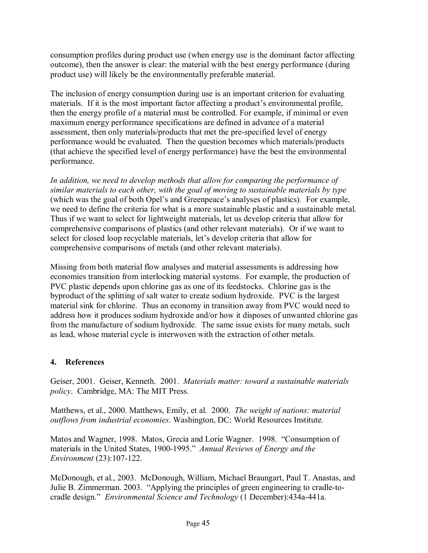consumption profiles during product use (when energy use is the dominant factor affecting outcome), then the answer is clear: the material with the best energy performance (during product use) will likely be the environmentally preferable material.

The inclusion of energy consumption during use is an important criterion for evaluating materials. If it is the most important factor affecting a product's environmental profile, then the energy profile of a material must be controlled. For example, if minimal or even maximum energy performance specifications are defined in advance of a material assessment, then only materials/products that met the pre-specified level of energy performance would be evaluated. Then the question becomes which materials/products (that achieve the specified level of energy performance) have the best the environmental performance.

*In addition, we need to develop methods that allow for comparing the performance of similar materials to each other, with the goal of moving to sustainable materials by type*  (which was the goal of both Opel's and Greenpeace's analyses of plastics). For example, we need to define the criteria for what is a more sustainable plastic and a sustainable metal. Thus if we want to select for lightweight materials, let us develop criteria that allow for comprehensive comparisons of plastics (and other relevant materials). Or if we want to select for closed loop recyclable materials, let's develop criteria that allow for comprehensive comparisons of metals (and other relevant materials).

Missing from both material flow analyses and material assessments is addressing how economies transition from interlocking material systems. For example, the production of PVC plastic depends upon chlorine gas as one of its feedstocks. Chlorine gas is the byproduct of the splitting of salt water to create sodium hydroxide. PVC is the largest material sink for chlorine. Thus an economy in transition away from PVC would need to address how it produces sodium hydroxide and/or how it disposes of unwanted chlorine gas from the manufacture of sodium hydroxide. The same issue exists for many metals, such as lead, whose material cycle is interwoven with the extraction of other metals.

# **4. References**

Geiser, 2001. Geiser, Kenneth. 2001. *Materials matter: toward a sustainable materials policy*. Cambridge, MA: The MIT Press.

Matthews, et al., 2000. Matthews, Emily, et al. 2000. *The weight of nations: material outflows from industrial economies*. Washington, DC: World Resources Institute.

Matos and Wagner, 1998. Matos, Grecia and Lorie Wagner. 1998. "Consumption of materials in the United States, 1900-1995." Annual Reviews of Energy and the *Environment* (23):107-122.

McDonough, et al., 2003. McDonough, William, Michael Braungart, Paul T. Anastas, and Julie B. Zimmerman. 2003. "Applying the principles of green engineering to cradle-tocradle design.î *Environmental Science and Technology* (1 December):434a-441a.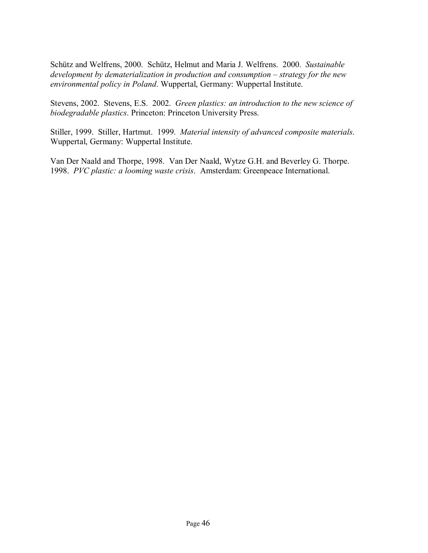Schütz and Welfrens, 2000. Schütz, Helmut and Maria J. Welfrens. 2000. *Sustainable development by dematerialization in production and consumption – strategy for the new environmental policy in Poland*. Wuppertal, Germany: Wuppertal Institute.

Stevens, 2002. Stevens, E.S. 2002. *Green plastics: an introduction to the new science of biodegradable plastics*. Princeton: Princeton University Press.

Stiller, 1999. Stiller, Hartmut. 1999. *Material intensity of advanced composite materials*. Wuppertal, Germany: Wuppertal Institute.

Van Der Naald and Thorpe, 1998. Van Der Naald, Wytze G.H. and Beverley G. Thorpe. 1998. *PVC plastic: a looming waste crisis*. Amsterdam: Greenpeace International.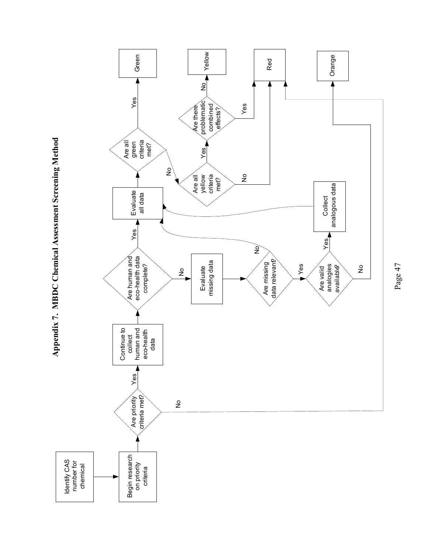

Page 47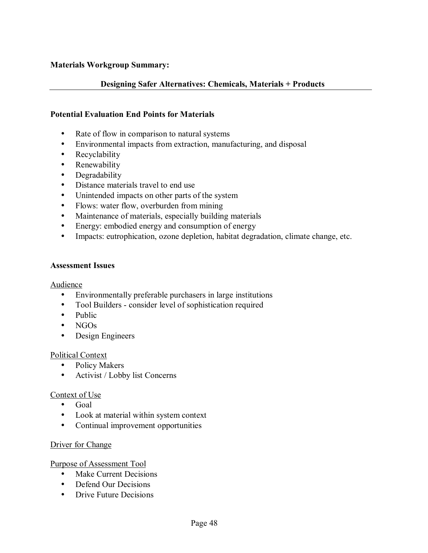#### **Materials Workgroup Summary:**

#### **Designing Safer Alternatives: Chemicals, Materials + Products**

#### **Potential Evaluation End Points for Materials**

- Rate of flow in comparison to natural systems
- Environmental impacts from extraction, manufacturing, and disposal
- Recyclability
- Renewability
- Degradability
- Distance materials travel to end use
- Unintended impacts on other parts of the system
- Flows: water flow, overburden from mining
- Maintenance of materials, especially building materials
- Energy: embodied energy and consumption of energy
- Impacts: eutrophication, ozone depletion, habitat degradation, climate change, etc.

#### **Assessment Issues**

#### Audience

- Environmentally preferable purchasers in large institutions
- Tool Builders consider level of sophistication required
- Public
- NGOs
- Design Engineers

#### Political Context

- Policy Makers
- Activist / Lobby list Concerns

#### Context of Use

- Goal
- Look at material within system context
- Continual improvement opportunities

#### Driver for Change

Purpose of Assessment Tool

- Make Current Decisions
- Defend Our Decisions
- Drive Future Decisions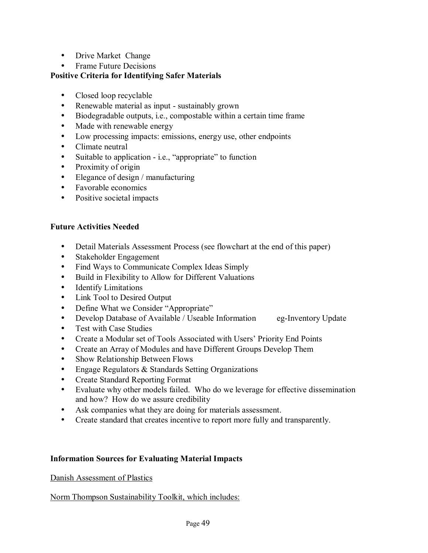- Drive Market Change
- Frame Future Decisions

## **Positive Criteria for Identifying Safer Materials**

- Closed loop recyclable
- Renewable material as input sustainably grown
- Biodegradable outputs, i.e., compostable within a certain time frame
- Made with renewable energy
- Low processing impacts: emissions, energy use, other endpoints
- Climate neutral
- Suitable to application i.e., "appropriate" to function
- Proximity of origin
- Elegance of design / manufacturing
- Favorable economics
- Positive societal impacts

## **Future Activities Needed**

- Detail Materials Assessment Process (see flowchart at the end of this paper)
- Stakeholder Engagement
- Find Ways to Communicate Complex Ideas Simply
- Build in Flexibility to Allow for Different Valuations
- **Identify Limitations**
- Link Tool to Desired Output
- Define What we Consider "Appropriate"
- Develop Database of Available / Useable Information eg-Inventory Update
- Test with Case Studies
- Create a Modular set of Tools Associated with Users' Priority End Points
- Create an Array of Modules and have Different Groups Develop Them
- Show Relationship Between Flows
- Engage Regulators & Standards Setting Organizations
- Create Standard Reporting Format
- Evaluate why other models failed. Who do we leverage for effective dissemination and how? How do we assure credibility
- Ask companies what they are doing for materials assessment.
- Create standard that creates incentive to report more fully and transparently.

## **Information Sources for Evaluating Material Impacts**

Danish Assessment of Plastics

Norm Thompson Sustainability Toolkit, which includes: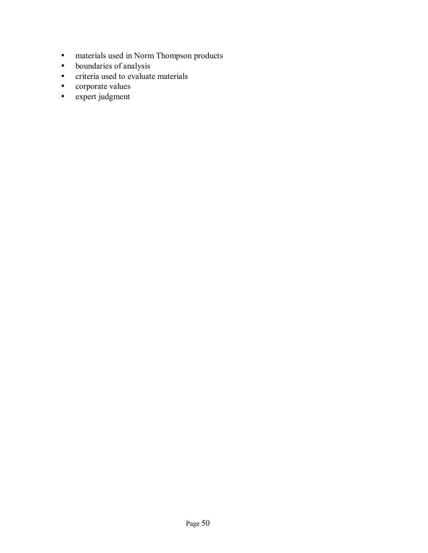- materials used in Norm Thompson products
- boundaries of analysis
- criteria used to evaluate materials
- corporate values
- expert judgment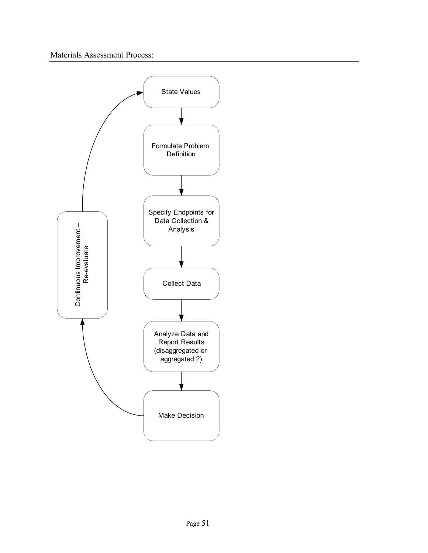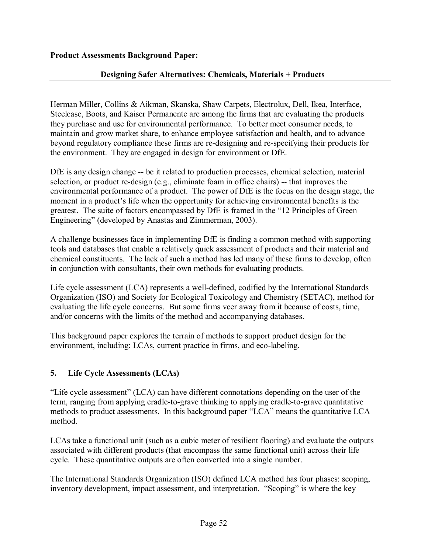## **Designing Safer Alternatives: Chemicals, Materials + Products**

Herman Miller, Collins & Aikman, Skanska, Shaw Carpets, Electrolux, Dell, Ikea, Interface, Steelcase, Boots, and Kaiser Permanente are among the firms that are evaluating the products they purchase and use for environmental performance. To better meet consumer needs, to maintain and grow market share, to enhance employee satisfaction and health, and to advance beyond regulatory compliance these firms are re-designing and re-specifying their products for the environment. They are engaged in design for environment or DfE.

DfE is any design change -- be it related to production processes, chemical selection, material selection, or product re-design (e.g., eliminate foam in office chairs) -- that improves the environmental performance of a product. The power of DfE is the focus on the design stage, the moment in a product's life when the opportunity for achieving environmental benefits is the greatest. The suite of factors encompassed by DfE is framed in the "12 Principles of Green Engineering" (developed by Anastas and Zimmerman, 2003).

A challenge businesses face in implementing DfE is finding a common method with supporting tools and databases that enable a relatively quick assessment of products and their material and chemical constituents. The lack of such a method has led many of these firms to develop, often in conjunction with consultants, their own methods for evaluating products.

Life cycle assessment (LCA) represents a well-defined, codified by the International Standards Organization (ISO) and Society for Ecological Toxicology and Chemistry (SETAC), method for evaluating the life cycle concerns. But some firms veer away from it because of costs, time, and/or concerns with the limits of the method and accompanying databases.

This background paper explores the terrain of methods to support product design for the environment, including: LCAs, current practice in firms, and eco-labeling.

# **5. Life Cycle Assessments (LCAs)**

"Life cycle assessment" (LCA) can have different connotations depending on the user of the term, ranging from applying cradle-to-grave thinking to applying cradle-to-grave quantitative methods to product assessments. In this background paper "LCA" means the quantitative LCA method.

LCAs take a functional unit (such as a cubic meter of resilient flooring) and evaluate the outputs associated with different products (that encompass the same functional unit) across their life cycle. These quantitative outputs are often converted into a single number.

The International Standards Organization (ISO) defined LCA method has four phases: scoping, inventory development, impact assessment, and interpretation. "Scoping" is where the key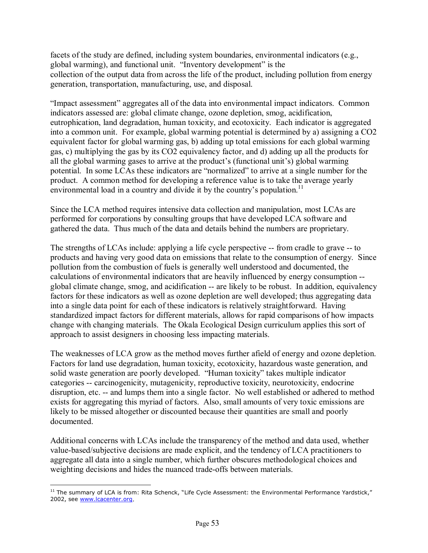facets of the study are defined, including system boundaries, environmental indicators (e.g., global warming), and functional unit. "Inventory development" is the collection of the output data from across the life of the product, including pollution from energy generation, transportation, manufacturing, use, and disposal.

"Impact assessment" aggregates all of the data into environmental impact indicators. Common indicators assessed are: global climate change, ozone depletion, smog, acidification, eutrophication, land degradation, human toxicity, and ecotoxicity. Each indicator is aggregated into a common unit. For example, global warming potential is determined by a) assigning a CO2 equivalent factor for global warming gas, b) adding up total emissions for each global warming gas, c) multiplying the gas by its CO2 equivalency factor, and d) adding up all the products for all the global warming gases to arrive at the product's (functional unit's) global warming potential. In some LCAs these indicators are "normalized" to arrive at a single number for the product. A common method for developing a reference value is to take the average yearly environmental load in a country and divide it by the country's population.<sup>11</sup>

Since the LCA method requires intensive data collection and manipulation, most LCAs are performed for corporations by consulting groups that have developed LCA software and gathered the data. Thus much of the data and details behind the numbers are proprietary.

The strengths of LCAs include: applying a life cycle perspective -- from cradle to grave -- to products and having very good data on emissions that relate to the consumption of energy. Since pollution from the combustion of fuels is generally well understood and documented, the calculations of environmental indicators that are heavily influenced by energy consumption - global climate change, smog, and acidification -- are likely to be robust. In addition, equivalency factors for these indicators as well as ozone depletion are well developed; thus aggregating data into a single data point for each of these indicators is relatively straightforward. Having standardized impact factors for different materials, allows for rapid comparisons of how impacts change with changing materials. The Okala Ecological Design curriculum applies this sort of approach to assist designers in choosing less impacting materials.

The weaknesses of LCA grow as the method moves further afield of energy and ozone depletion. Factors for land use degradation, human toxicity, ecotoxicity, hazardous waste generation, and solid waste generation are poorly developed. "Human toxicity" takes multiple indicator categories -- carcinogenicity, mutagenicity, reproductive toxicity, neurotoxicity, endocrine disruption, etc. -- and lumps them into a single factor. No well established or adhered to method exists for aggregating this myriad of factors. Also, small amounts of very toxic emissions are likely to be missed altogether or discounted because their quantities are small and poorly documented.

Additional concerns with LCAs include the transparency of the method and data used, whether value-based/subjective decisions are made explicit, and the tendency of LCA practitioners to aggregate all data into a single number, which further obscures methodological choices and weighting decisions and hides the nuanced trade-offs between materials.

 $\overline{a}$  $11$  The summary of LCA is from: Rita Schenck, "Life Cycle Assessment: the Environmental Performance Yardstick," 2002, see www.lcacenter.org.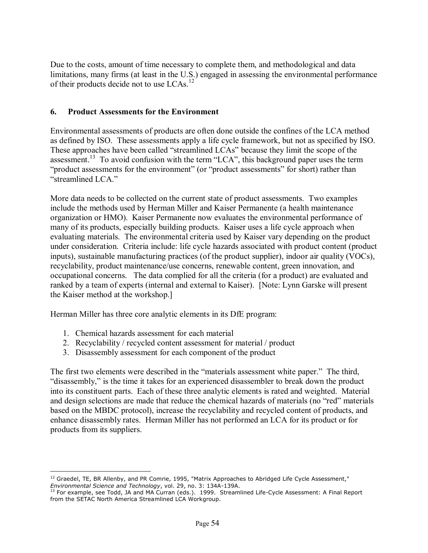Due to the costs, amount of time necessary to complete them, and methodological and data limitations, many firms (at least in the U.S.) engaged in assessing the environmental performance of their products decide not to use LCAs.<sup>12</sup>

## **6. Product Assessments for the Environment**

Environmental assessments of products are often done outside the confines of the LCA method as defined by ISO. These assessments apply a life cycle framework, but not as specified by ISO. These approaches have been called "streamlined LCAs" because they limit the scope of the assessment.<sup>13</sup> To avoid confusion with the term "LCA", this background paper uses the term "product assessments for the environment" (or "product assessments" for short) rather than "streamlined LCA."

More data needs to be collected on the current state of product assessments. Two examples include the methods used by Herman Miller and Kaiser Permanente (a health maintenance organization or HMO). Kaiser Permanente now evaluates the environmental performance of many of its products, especially building products. Kaiser uses a life cycle approach when evaluating materials. The environmental criteria used by Kaiser vary depending on the product under consideration. Criteria include: life cycle hazards associated with product content (product inputs), sustainable manufacturing practices (of the product supplier), indoor air quality (VOCs), recyclability, product maintenance/use concerns, renewable content, green innovation, and occupational concerns. The data complied for all the criteria (for a product) are evaluated and ranked by a team of experts (internal and external to Kaiser). [Note: Lynn Garske will present the Kaiser method at the workshop.]

Herman Miller has three core analytic elements in its DfE program:

1. Chemical hazards assessment for each material

 $\overline{a}$ 

- 2. Recyclability / recycled content assessment for material / product
- 3. Disassembly assessment for each component of the product

The first two elements were described in the "materials assessment white paper." The third, "disassembly," is the time it takes for an experienced disassembler to break down the product into its constituent parts. Each of these three analytic elements is rated and weighted. Material and design selections are made that reduce the chemical hazards of materials (no "red" materials based on the MBDC protocol), increase the recyclability and recycled content of products, and enhance disassembly rates. Herman Miller has not performed an LCA for its product or for products from its suppliers.

 $12$  Graedel, TE, BR Allenby, and PR Comrie, 1995, "Matrix Approaches to Abridged Life Cycle Assessment," *Environmental Science and Technology*, vol. 29, no. 3: 134A-139A. 13 For example, see Todd, JA and MA Curran (eds.). 1999. Streamlined Life-Cycle Assessment: A Final Report

from the SETAC North America Streamlined LCA Workgroup.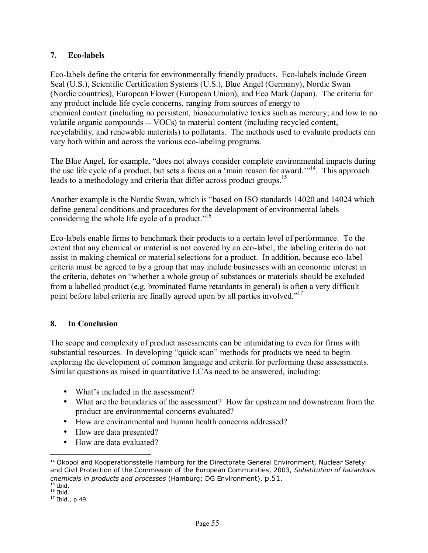## **7. Eco-labels**

Eco-labels define the criteria for environmentally friendly products. Eco-labels include Green Seal (U.S.), Scientific Certification Systems (U.S.), Blue Angel (Germany), Nordic Swan (Nordic countries), European Flower (European Union), and Eco Mark (Japan). The criteria for any product include life cycle concerns, ranging from sources of energy to chemical content (including no persistent, bioaccumulative toxics such as mercury; and low to no volatile organic compounds -- VOCs) to material content (including recycled content, recyclability, and renewable materials) to pollutants. The methods used to evaluate products can vary both within and across the various eco-labeling programs.

The Blue Angel, for example, "does not always consider complete environmental impacts during the use life cycle of a product, but sets a focus on a 'main reason for award.'"<sup>14</sup>. This approach leads to a methodology and criteria that differ across product groups.<sup>15</sup>

Another example is the Nordic Swan, which is "based on ISO standards 14020 and 14024 which define general conditions and procedures for the development of environmental labels considering the whole life cycle of a product."<sup>16</sup>

Eco-labels enable firms to benchmark their products to a certain level of performance. To the extent that any chemical or material is not covered by an eco-label, the labeling criteria do not assist in making chemical or material selections for a product. In addition, because eco-label criteria must be agreed to by a group that may include businesses with an economic interest in the criteria, debates on "whether a whole group of substances or materials should be excluded from a labelled product (e.g. brominated flame retardants in general) is often a very difficult point before label criteria are finally agreed upon by all parties involved.<sup> $17$ </sup>

# **8. In Conclusion**

The scope and complexity of product assessments can be intimidating to even for firms with substantial resources. In developing "quick scan" methods for products we need to begin exploring the development of common language and criteria for performing these assessments. Similar questions as raised in quantitative LCAs need to be answered, including:

- What's included in the assessment?
- What are the boundaries of the assessment? How far upstream and downstream from the product are environmental concerns evaluated?
- How are environmental and human health concerns addressed?
- How are data presented?
- How are data evaluated?

 $\overline{a}$ 

<sup>&</sup>lt;sup>14</sup> Ökopol and Kooperationsstelle Hamburg for the Directorate General Environment, Nuclear Safety and Civil Protection of the Commission of the European Communities, 2003, *Substitution of hazardous chemicals in products and processes* (Hamburg: DG Environment), p.51.

 $16 \text{ Ibid.}$ <br> $17 \text{ Ibid., p.49.}$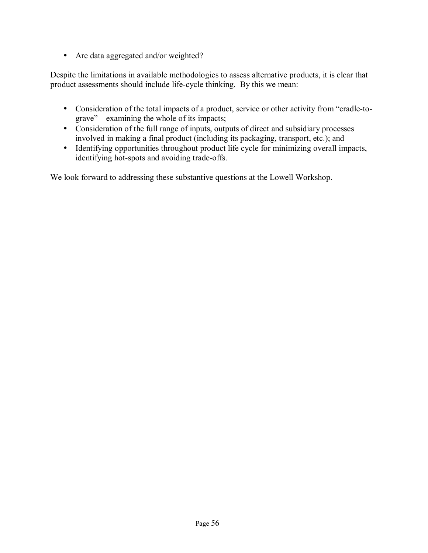• Are data aggregated and/or weighted?

Despite the limitations in available methodologies to assess alternative products, it is clear that product assessments should include life-cycle thinking. By this we mean:

- Consideration of the total impacts of a product, service or other activity from "cradle-to $grave" - examining the whole of its impacts;$
- Consideration of the full range of inputs, outputs of direct and subsidiary processes involved in making a final product (including its packaging, transport, etc.); and
- Identifying opportunities throughout product life cycle for minimizing overall impacts, identifying hot-spots and avoiding trade-offs.

We look forward to addressing these substantive questions at the Lowell Workshop.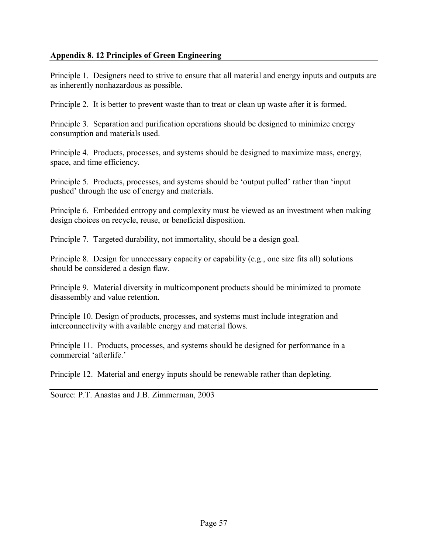## **Appendix 8. 12 Principles of Green Engineering**

Principle 1. Designers need to strive to ensure that all material and energy inputs and outputs are as inherently nonhazardous as possible.

Principle 2. It is better to prevent waste than to treat or clean up waste after it is formed.

Principle 3. Separation and purification operations should be designed to minimize energy consumption and materials used.

Principle 4. Products, processes, and systems should be designed to maximize mass, energy, space, and time efficiency.

Principle 5. Products, processes, and systems should be 'output pulled' rather than 'input pushed' through the use of energy and materials.

Principle 6. Embedded entropy and complexity must be viewed as an investment when making design choices on recycle, reuse, or beneficial disposition.

Principle 7. Targeted durability, not immortality, should be a design goal.

Principle 8. Design for unnecessary capacity or capability (e.g., one size fits all) solutions should be considered a design flaw.

Principle 9. Material diversity in multicomponent products should be minimized to promote disassembly and value retention.

Principle 10. Design of products, processes, and systems must include integration and interconnectivity with available energy and material flows.

Principle 11. Products, processes, and systems should be designed for performance in a commercial 'afterlife.'

Principle 12. Material and energy inputs should be renewable rather than depleting.

Source: P.T. Anastas and J.B. Zimmerman, 2003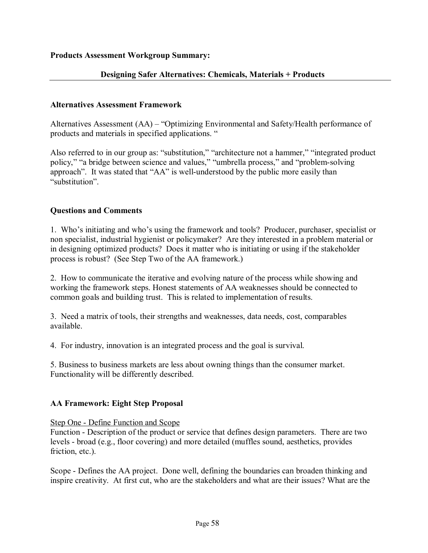## **Designing Safer Alternatives: Chemicals, Materials + Products**

#### **Alternatives Assessment Framework**

Alternatives Assessment  $(AA)$  – "Optimizing Environmental and Safety/Health performance of products and materials in specified applications.  $\degree$ 

Also referred to in our group as: "substitution," "architecture not a hammer," "integrated product policy," "a bridge between science and values," "umbrella process," and "problem-solving approach". It was stated that "AA" is well-understood by the public more easily than "substitution"

#### **Questions and Comments**

1. Whoís initiating and whoís using the framework and tools? Producer, purchaser, specialist or non specialist, industrial hygienist or policymaker? Are they interested in a problem material or in designing optimized products? Does it matter who is initiating or using if the stakeholder process is robust? (See Step Two of the AA framework.)

2. How to communicate the iterative and evolving nature of the process while showing and working the framework steps. Honest statements of AA weaknesses should be connected to common goals and building trust. This is related to implementation of results.

3. Need a matrix of tools, their strengths and weaknesses, data needs, cost, comparables available.

4. For industry, innovation is an integrated process and the goal is survival.

5. Business to business markets are less about owning things than the consumer market. Functionality will be differently described.

## **AA Framework: Eight Step Proposal**

Step One - Define Function and Scope

Function - Description of the product or service that defines design parameters. There are two levels - broad (e.g., floor covering) and more detailed (muffles sound, aesthetics, provides friction, etc.).

Scope - Defines the AA project. Done well, defining the boundaries can broaden thinking and inspire creativity. At first cut, who are the stakeholders and what are their issues? What are the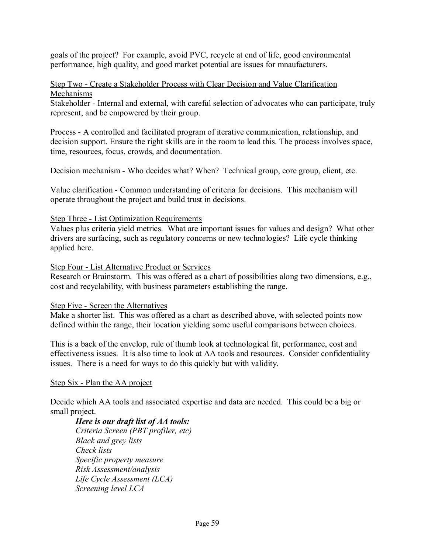goals of the project? For example, avoid PVC, recycle at end of life, good environmental performance, high quality, and good market potential are issues for mnaufacturers.

#### Step Two - Create a Stakeholder Process with Clear Decision and Value Clarification Mechanisms

Stakeholder - Internal and external, with careful selection of advocates who can participate, truly represent, and be empowered by their group.

Process - A controlled and facilitated program of iterative communication, relationship, and decision support. Ensure the right skills are in the room to lead this. The process involves space, time, resources, focus, crowds, and documentation.

Decision mechanism - Who decides what? When? Technical group, core group, client, etc.

Value clarification - Common understanding of criteria for decisions. This mechanism will operate throughout the project and build trust in decisions.

## Step Three - List Optimization Requirements

Values plus criteria yield metrics. What are important issues for values and design? What other drivers are surfacing, such as regulatory concerns or new technologies? Life cycle thinking applied here.

## Step Four - List Alternative Product or Services

Research or Brainstorm. This was offered as a chart of possibilities along two dimensions, e.g., cost and recyclability, with business parameters establishing the range.

## Step Five - Screen the Alternatives

Make a shorter list. This was offered as a chart as described above, with selected points now defined within the range, their location yielding some useful comparisons between choices.

This is a back of the envelop, rule of thumb look at technological fit, performance, cost and effectiveness issues. It is also time to look at AA tools and resources. Consider confidentiality issues. There is a need for ways to do this quickly but with validity.

## Step Six - Plan the AA project

Decide which AA tools and associated expertise and data are needed. This could be a big or small project.

*Here is our draft list of AA tools: Criteria Screen (PBT profiler, etc) Black and grey lists Check lists Specific property measure Risk Assessment/analysis Life Cycle Assessment (LCA) Screening level LCA*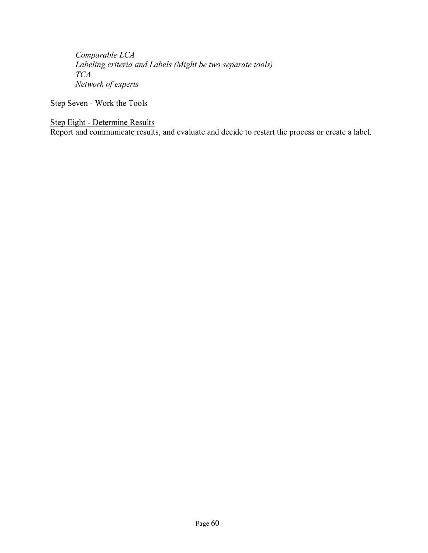*Comparable LCA Labeling criteria and Labels (Might be two separate tools) TCA Network of experts* 

Step Seven - Work the Tools

Step Eight - Determine Results

Report and communicate results, and evaluate and decide to restart the process or create a label.